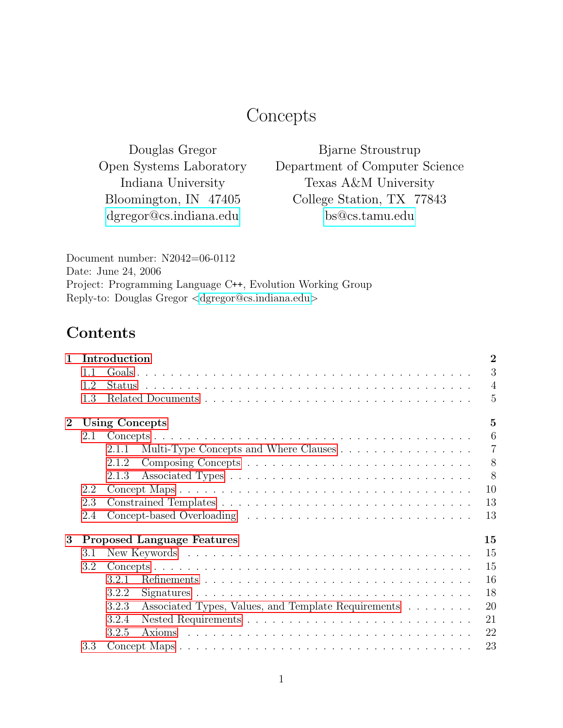# **Concepts**

Douglas Gregor Open Systems Laboratory Indiana University Bloomington, IN 47405 [dgregor@cs.indiana.edu](mailto:dgregor@cs.indiana.edu)

Bjarne Stroustrup Department of Computer Science Texas A&M University College Station, TX 77843 [bs@cs.tamu.edu](mailto:bs@cs.tamu.edu)

Document number: N2042=06-0112 Date: June 24, 2006 Project: Programming Language C++, Evolution Working Group Reply-to: Douglas Gregor <[dgregor@cs.indiana.edu](mailto:dgregor@cs.indiana.edu)>

## Contents

| Introduction |                                                | $\overline{2}$                                                                                                                                                                                        |
|--------------|------------------------------------------------|-------------------------------------------------------------------------------------------------------------------------------------------------------------------------------------------------------|
| 1.1          |                                                | 3                                                                                                                                                                                                     |
| 1.2          |                                                | $\overline{4}$                                                                                                                                                                                        |
| 1.3          |                                                | $\overline{5}$                                                                                                                                                                                        |
|              |                                                | $\overline{5}$                                                                                                                                                                                        |
| 2.1          |                                                | 6                                                                                                                                                                                                     |
|              | Multi-Type Concepts and Where Clauses<br>2.1.1 | $\overline{7}$                                                                                                                                                                                        |
|              | 2.1.2                                          | 8                                                                                                                                                                                                     |
|              | 2.1.3                                          | 8                                                                                                                                                                                                     |
| 2.2          |                                                |                                                                                                                                                                                                       |
| 2.3          |                                                |                                                                                                                                                                                                       |
| 2.4          |                                                |                                                                                                                                                                                                       |
|              |                                                |                                                                                                                                                                                                       |
| 3.1          |                                                |                                                                                                                                                                                                       |
| 3.2          |                                                |                                                                                                                                                                                                       |
|              | 321                                            |                                                                                                                                                                                                       |
|              | 3.2.2                                          |                                                                                                                                                                                                       |
|              |                                                |                                                                                                                                                                                                       |
|              |                                                |                                                                                                                                                                                                       |
|              | 3.2.5                                          |                                                                                                                                                                                                       |
| 3.3          |                                                | 23                                                                                                                                                                                                    |
|              |                                                | <b>Using Concepts</b><br>10<br>13<br>13<br>15<br><b>Proposed Language Features</b><br>15<br>15<br>16<br>18<br>3.2.3<br>Associated Types, Values, and Template Requirements<br>20<br>21<br>3.2.4<br>22 |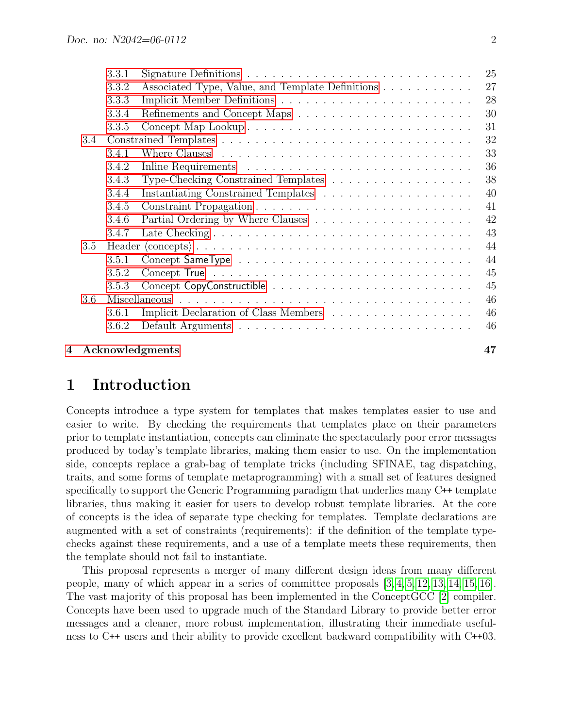|     |     |       | 4 Acknowledgments                                                                         | 47 |
|-----|-----|-------|-------------------------------------------------------------------------------------------|----|
|     |     | 3.6.2 |                                                                                           | 46 |
|     |     | 3.6.1 | Implicit Declaration of Class Members                                                     | 46 |
|     | 3.6 |       |                                                                                           | 46 |
|     |     | 3.5.3 |                                                                                           | 45 |
|     |     | 3.5.2 |                                                                                           | 45 |
|     |     | 3.5.1 |                                                                                           | 44 |
| 3.5 |     |       | 44                                                                                        |    |
|     |     | 3.4.7 |                                                                                           | 43 |
|     |     | 3.4.6 |                                                                                           | 42 |
|     |     | 3.4.5 |                                                                                           | 41 |
|     |     | 3.4.4 | Instantiating Constrained Templates $\ldots \ldots \ldots \ldots \ldots \ldots$           | 40 |
|     |     | 3.4.3 | Type-Checking Constrained Templates                                                       | 38 |
|     |     | 3.4.2 |                                                                                           | 36 |
|     |     | 3.4.1 |                                                                                           | 33 |
|     | 3.4 |       |                                                                                           | 32 |
|     |     | 3.3.5 | Concept Map Lookup                                                                        | 31 |
|     |     | 3.3.4 |                                                                                           | 30 |
|     |     | 3.3.3 |                                                                                           | 28 |
|     |     | 3.3.2 | Associated Type, Value, and Template Definitions                                          | 27 |
|     |     | 3.3.1 | Signature Definitions $\dots \dots \dots \dots \dots \dots \dots \dots \dots \dots \dots$ | 25 |

## <span id="page-1-0"></span>1 Introduction

Concepts introduce a type system for templates that makes templates easier to use and easier to write. By checking the requirements that templates place on their parameters prior to template instantiation, concepts can eliminate the spectacularly poor error messages produced by today's template libraries, making them easier to use. On the implementation side, concepts replace a grab-bag of template tricks (including SFINAE, tag dispatching, traits, and some forms of template metaprogramming) with a small set of features designed specifically to support the Generic Programming paradigm that underlies many C++ template libraries, thus making it easier for users to develop robust template libraries. At the core of concepts is the idea of separate type checking for templates. Template declarations are augmented with a set of constraints (requirements): if the definition of the template typechecks against these requirements, and a use of a template meets these requirements, then the template should not fail to instantiate.

This proposal represents a merger of many different design ideas from many different people, many of which appear in a series of committee proposals [\[3,](#page-47-0) [4,](#page-47-1) [5,](#page-47-2) [12,](#page-47-3) [13,](#page-47-4) [14,](#page-48-0) [15,](#page-48-1) [16\]](#page-48-2). The vast majority of this proposal has been implemented in the ConceptGCC [\[2\]](#page-46-1) compiler. Concepts have been used to upgrade much of the Standard Library to provide better error messages and a cleaner, more robust implementation, illustrating their immediate usefulness to C++ users and their ability to provide excellent backward compatibility with C++03.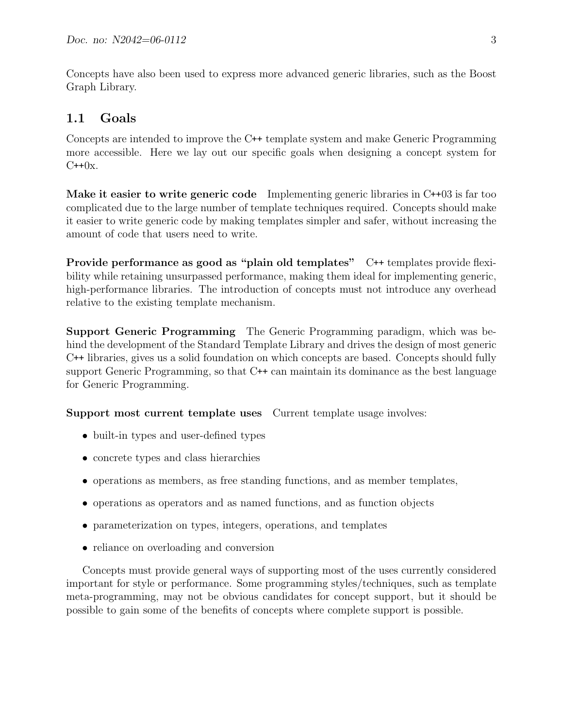Concepts have also been used to express more advanced generic libraries, such as the Boost Graph Library.

## <span id="page-2-0"></span>1.1 Goals

Concepts are intended to improve the C++ template system and make Generic Programming more accessible. Here we lay out our specific goals when designing a concept system for  $C++0x$ .

Make it easier to write generic code Implementing generic libraries in C++03 is far too complicated due to the large number of template techniques required. Concepts should make it easier to write generic code by making templates simpler and safer, without increasing the amount of code that users need to write.

Provide performance as good as "plain old templates" C++ templates provide flexibility while retaining unsurpassed performance, making them ideal for implementing generic, high-performance libraries. The introduction of concepts must not introduce any overhead relative to the existing template mechanism.

Support Generic Programming The Generic Programming paradigm, which was behind the development of the Standard Template Library and drives the design of most generic C++ libraries, gives us a solid foundation on which concepts are based. Concepts should fully support Generic Programming, so that C<sup>++</sup> can maintain its dominance as the best language for Generic Programming.

Support most current template uses Current template usage involves:

- built-in types and user-defined types
- concrete types and class hierarchies
- operations as members, as free standing functions, and as member templates,
- operations as operators and as named functions, and as function objects
- parameterization on types, integers, operations, and templates
- reliance on overloading and conversion

Concepts must provide general ways of supporting most of the uses currently considered important for style or performance. Some programming styles/techniques, such as template meta-programming, may not be obvious candidates for concept support, but it should be possible to gain some of the benefits of concepts where complete support is possible.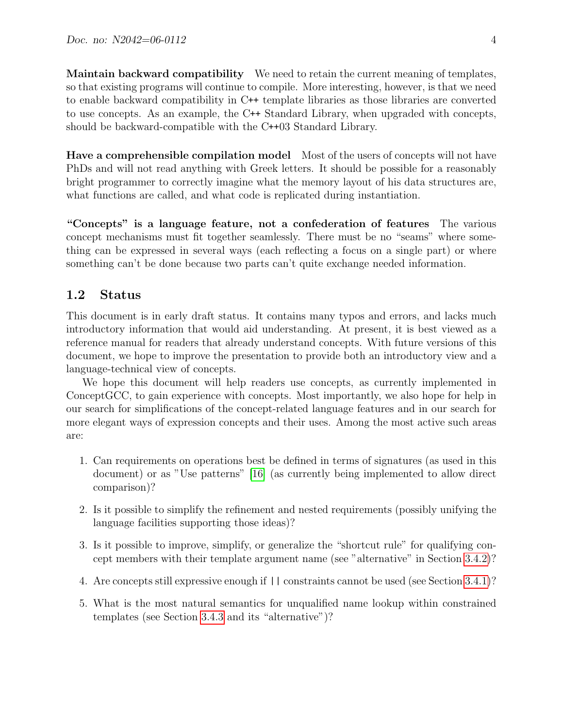Maintain backward compatibility We need to retain the current meaning of templates, so that existing programs will continue to compile. More interesting, however, is that we need to enable backward compatibility in C++ template libraries as those libraries are converted to use concepts. As an example, the C++ Standard Library, when upgraded with concepts, should be backward-compatible with the C++03 Standard Library.

Have a comprehensible compilation model Most of the users of concepts will not have PhDs and will not read anything with Greek letters. It should be possible for a reasonably bright programmer to correctly imagine what the memory layout of his data structures are, what functions are called, and what code is replicated during instantiation.

"Concepts" is a language feature, not a confederation of features The various concept mechanisms must fit together seamlessly. There must be no "seams" where something can be expressed in several ways (each reflecting a focus on a single part) or where something can't be done because two parts can't quite exchange needed information.

#### <span id="page-3-0"></span>1.2 Status

This document is in early draft status. It contains many typos and errors, and lacks much introductory information that would aid understanding. At present, it is best viewed as a reference manual for readers that already understand concepts. With future versions of this document, we hope to improve the presentation to provide both an introductory view and a language-technical view of concepts.

We hope this document will help readers use concepts, as currently implemented in ConceptGCC, to gain experience with concepts. Most importantly, we also hope for help in our search for simplifications of the concept-related language features and in our search for more elegant ways of expression concepts and their uses. Among the most active such areas are:

- 1. Can requirements on operations best be defined in terms of signatures (as used in this document) or as "Use patterns" [\[16\]](#page-48-2) (as currently being implemented to allow direct comparison)?
- 2. Is it possible to simplify the refinement and nested requirements (possibly unifying the language facilities supporting those ideas)?
- 3. Is it possible to improve, simplify, or generalize the "shortcut rule" for qualifying concept members with their template argument name (see "alternative" in Section [3.4.2\)](#page-35-0)?
- 4. Are concepts still expressive enough if || constraints cannot be used (see Section [3.4.1\)](#page-32-0)?
- 5. What is the most natural semantics for unqualified name lookup within constrained templates (see Section [3.4.3](#page-37-0) and its "alternative")?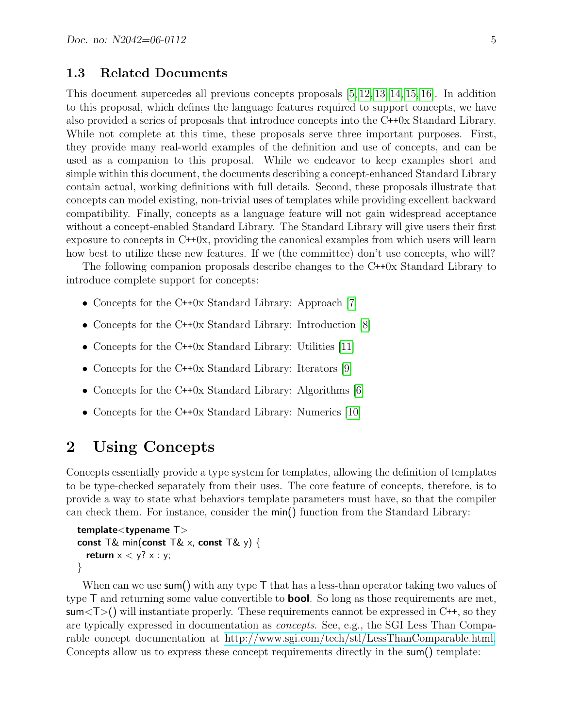#### <span id="page-4-0"></span>1.3 Related Documents

This document supercedes all previous concepts proposals [\[5,](#page-47-2) [12,](#page-47-3) [13,](#page-47-4) [14,](#page-48-0) [15,](#page-48-1) [16\]](#page-48-2). In addition to this proposal, which defines the language features required to support concepts, we have also provided a series of proposals that introduce concepts into the C++0x Standard Library. While not complete at this time, these proposals serve three important purposes. First, they provide many real-world examples of the definition and use of concepts, and can be used as a companion to this proposal. While we endeavor to keep examples short and simple within this document, the documents describing a concept-enhanced Standard Library contain actual, working definitions with full details. Second, these proposals illustrate that concepts can model existing, non-trivial uses of templates while providing excellent backward compatibility. Finally, concepts as a language feature will not gain widespread acceptance without a concept-enabled Standard Library. The Standard Library will give users their first exposure to concepts in C++0x, providing the canonical examples from which users will learn how best to utilize these new features. If we (the committee) don't use concepts, who will?

The following companion proposals describe changes to the C++0x Standard Library to introduce complete support for concepts:

- Concepts for the C++0x Standard Library: Approach [\[7\]](#page-47-5)
- Concepts for the C++0x Standard Library: Introduction [\[8\]](#page-47-6)
- Concepts for the C++0x Standard Library: Utilities [\[11\]](#page-47-7)
- Concepts for the C++0x Standard Library: Iterators [\[9\]](#page-47-8)
- Concepts for the C++0x Standard Library: Algorithms [\[6\]](#page-47-9)
- Concepts for the C++0x Standard Library: Numerics [\[10\]](#page-47-10)

## <span id="page-4-1"></span>2 Using Concepts

Concepts essentially provide a type system for templates, allowing the definition of templates to be type-checked separately from their uses. The core feature of concepts, therefore, is to provide a way to state what behaviors template parameters must have, so that the compiler can check them. For instance, consider the min() function from the Standard Library:

```
template<typename T>
const T& min(const T& x, const T& y) {
  return x < y? x : y;
}
```
When can we use sum() with any type  $\mathsf T$  that has a less-than operator taking two values of type  $\mathsf T$  and returning some value convertible to **bool**. So long as those requirements are met,  $sum <$ [) will instantiate properly. These requirements cannot be expressed in C++, so they are typically expressed in documentation as concepts. See, e.g., the SGI Less Than Comparable concept documentation at [http://www.sgi.com/tech/stl/LessThanComparable.html.](http://www.sgi.com/tech/stl/LessThanComparable.html) Concepts allow us to express these concept requirements directly in the sum() template: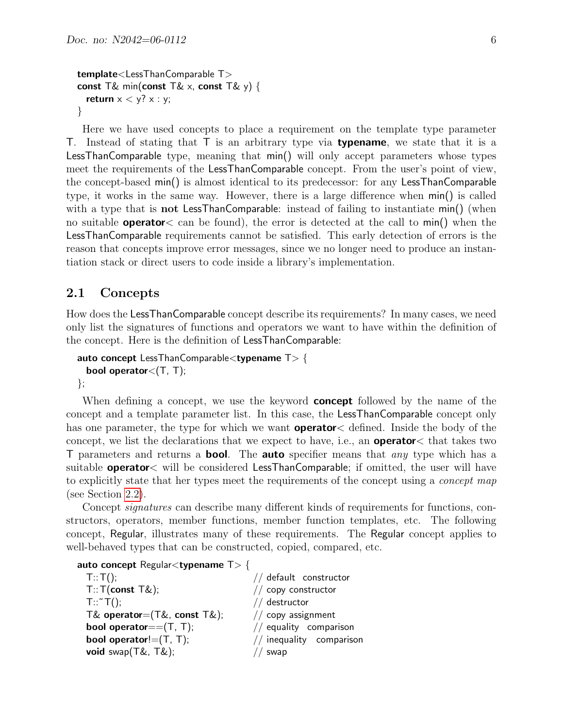```
template<LessThanComparable T>
const T& min(const T& x, const T& y) {
  return x < y? x : y;
}
```
Here we have used concepts to place a requirement on the template type parameter T. Instead of stating that  $\top$  is an arbitrary type via **typename**, we state that it is a LessThanComparable type, meaning that min() will only accept parameters whose types meet the requirements of the LessThanComparable concept. From the user's point of view, the concept-based min() is almost identical to its predecessor: for any LessThanComparable type, it works in the same way. However, there is a large difference when min() is called with a type that is **not LessThanComparable**: instead of failing to instantiate min() (when no suitable **operator**  $\lt$  can be found), the error is detected at the call to min() when the LessThanComparable requirements cannot be satisfied. This early detection of errors is the reason that concepts improve error messages, since we no longer need to produce an instantiation stack or direct users to code inside a library's implementation.

#### <span id="page-5-0"></span>2.1 Concepts

How does the LessThanComparable concept describe its requirements? In many cases, we need only list the signatures of functions and operators we want to have within the definition of the concept. Here is the definition of LessThanComparable:

```
auto concept LessThanComparable<typename T> {
 bool operator\lt(T, T);
};
```
When defining a concept, we use the keyword **concept** followed by the name of the concept and a template parameter list. In this case, the LessThanComparable concept only has one parameter, the type for which we want **operator** defined. Inside the body of the concept, we list the declarations that we expect to have, i.e., an operator< that takes two T parameters and returns a **bool**. The **auto** specifier means that *any* type which has a suitable **operator**  $\lt$  will be considered **LessThanComparable**; if omitted, the user will have to explicitly state that her types meet the requirements of the concept using a *concept map* (see Section [2.2\)](#page-9-0).

Concept *signatures* can describe many different kinds of requirements for functions, constructors, operators, member functions, member function templates, etc. The following concept, Regular, illustrates many of these requirements. The Regular concept applies to well-behaved types that can be constructed, copied, compared, etc.

```
auto concept Regularlttypename T> {
```

| T::T();                       | // default constructor   |
|-------------------------------|--------------------------|
| $T$ :: $T$ (const $T\&$ );    | // copy constructor      |
| $T$ :: $\tilde{}$ $T()$ ;     | // destructor            |
| T& operator= $(T& const T&);$ | $//$ copy assignment     |
| bool operator== $(T, T)$ ;    | // equality comparison   |
| bool operator! $=(T, T)$ ;    | // inequality comparison |
| void $swap(T&, T&)$ ;         | // swap                  |
|                               |                          |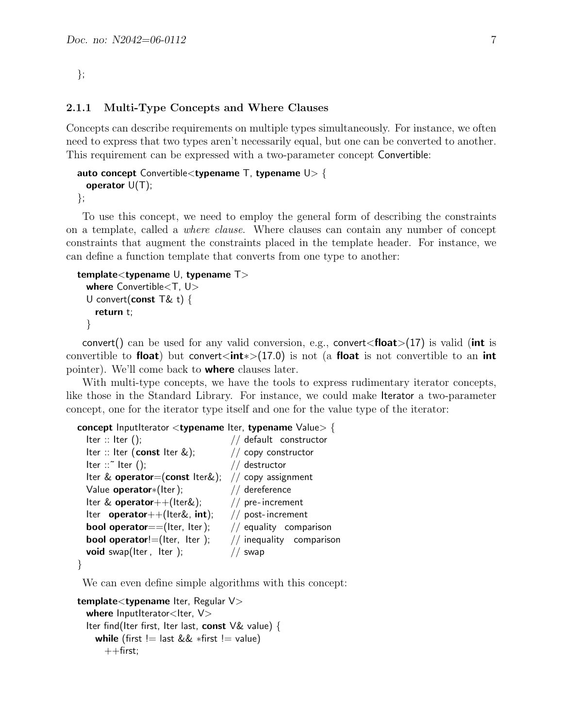```
};
```
#### <span id="page-6-0"></span>2.1.1 Multi-Type Concepts and Where Clauses

Concepts can describe requirements on multiple types simultaneously. For instance, we often need to express that two types aren't necessarily equal, but one can be converted to another. This requirement can be expressed with a two-parameter concept Convertible:

```
auto concept Convertible<typename T, typename U > \{operator U(T);
```

```
};
```
To use this concept, we need to employ the general form of describing the constraints on a template, called a where clause. Where clauses can contain any number of concept constraints that augment the constraints placed in the template header. For instance, we can define a function template that converts from one type to another:

```
template<typename U, typename T>
 where Convertible<T, U>
  U convert(const T& t) {
   return t;
 }
```
convert() can be used for any valid conversion, e.g., convert  $\epsilon$  float  $>(17)$  is valid (int is convertible to float) but convert<int<sup>\*</sup>>(17.0) is not (a float is not convertible to an int pointer). We'll come back to where clauses later.

With multi-type concepts, we have the tools to express rudimentary iterator concepts, like those in the Standard Library. For instance, we could make Iterator a two-parameter concept, one for the iterator type itself and one for the value type of the iterator:

```
concept InputIterator <typename Iter, typename Value> {
 Iter :: Iter (); // default constructor
```

```
Iter :: Iter (const Iter \&); \frac{1}{2} copy constructor
Iter ::~ Iter (); // destructor
Iter & operator=(const Iter&); // copy assignment
Value operator*(Iter); // dereference
Iter \& operator + + (Iter\&); \qquad // pre-increment
Iter operator++(Iter&, int); // post-increment
bool operator==(Iter, Iter); \frac{1}{2} equality comparison
bool operator!=(Iter, Iter); \frac{1}{2} inequality comparison
void swap(Iter, Iter); \frac{1}{2} // swap
```
}

We can even define simple algorithms with this concept:

```
template<typename Iter, Regular V>
  where InputIterator\ltIter, VIter find(Iter first, Iter last, const V\& value) {
    while (first != last && *first != value)
      ++first;
```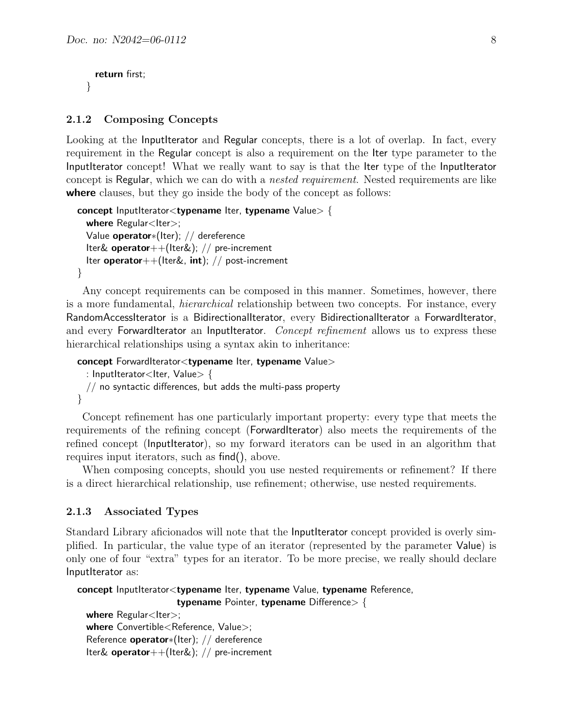```
return first;
}
```
#### <span id="page-7-0"></span>2.1.2 Composing Concepts

Looking at the InputIterator and Regular concepts, there is a lot of overlap. In fact, every requirement in the Regular concept is also a requirement on the Iter type parameter to the InputIterator concept! What we really want to say is that the Iter type of the InputIterator concept is Regular, which we can do with a nested requirement. Nested requirements are like where clauses, but they go inside the body of the concept as follows:

```
concept InputIterator<typename Iter, typename Value> {
  where Regular<Iter>;
  Value operator∗(Iter); // dereference
  Iter& operator++(Iter&); // pre-increment
  Iter operator++(Iter&, int); // post-increment
}
```
Any concept requirements can be composed in this manner. Sometimes, however, there is a more fundamental, hierarchical relationship between two concepts. For instance, every RandomAccessIterator is a BidirectionalIterator, every BidirectionalIterator a ForwardIterator, and every ForwardIterator an InputIterator. Concept refinement allows us to express these hierarchical relationships using a syntax akin to inheritance:

```
concept ForwardIterator<typename Iter, typename Value>
  : InputIterator<Iter, Value> {
  \frac{1}{2} no syntactic differences, but adds the multi-pass property
}
```
Concept refinement has one particularly important property: every type that meets the requirements of the refining concept (ForwardIterator) also meets the requirements of the refined concept (InputIterator), so my forward iterators can be used in an algorithm that requires input iterators, such as find(), above.

When composing concepts, should you use nested requirements or refinement? If there is a direct hierarchical relationship, use refinement; otherwise, use nested requirements.

#### <span id="page-7-1"></span>2.1.3 Associated Types

Standard Library aficionados will note that the InputIterator concept provided is overly simplified. In particular, the value type of an iterator (represented by the parameter Value) is only one of four "extra" types for an iterator. To be more precise, we really should declare InputIterator as:

```
concept InputIterator<typename Iter, typename Value, typename Reference,
                     typename Pointer, typename Difference>\{where Regular <Iter>;
```

```
where Convertible<Reference, Value>;
Reference operator∗(Iter); // dereference
Iter& operator++(Iter&); // pre-increment
```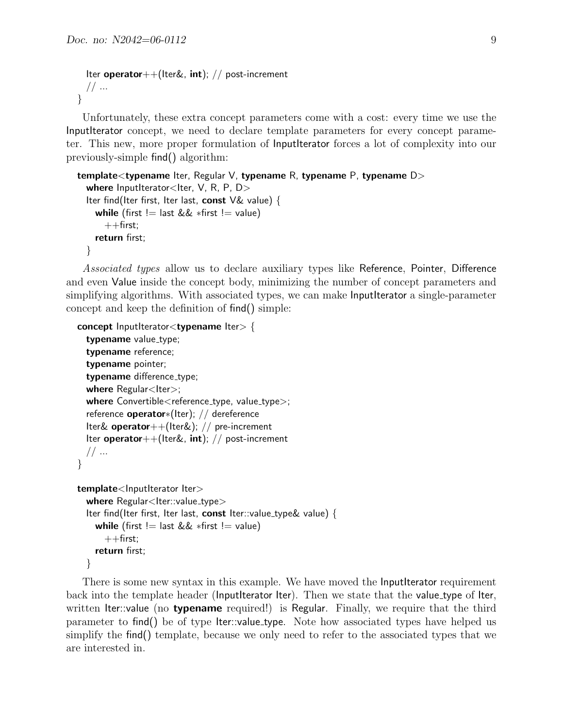```
Iter operator++(Iter&, int); // post-increment
  // ...
}
```
Unfortunately, these extra concept parameters come with a cost: every time we use the InputIterator concept, we need to declare template parameters for every concept parameter. This new, more proper formulation of InputIterator forces a lot of complexity into our previously-simple find() algorithm:

```
template<typename Iter, Regular V, typename R, typename P, typename D>
  where InputIterator<Iter, V, R, P, D>
  Iter find(Iter first, Iter last, const V\& value) {
    while (first != last && *first != value)
      ++first:
    return first;
  }
```
Associated types allow us to declare auxiliary types like Reference, Pointer, Difference and even Value inside the concept body, minimizing the number of concept parameters and simplifying algorithms. With associated types, we can make InputIterator a single-parameter concept and keep the definition of find() simple:

```
concept InputIteratorlttypename Itergt {
  typename value_type;
  typename reference;
  typename pointer;
  typename difference_type;
  where Regular<Iter>;
  where Convertible <reference_type, value_type>;
  reference operator∗(Iter); // dereference
  Iter& operator++(Iter&); // pre-increment
  Iter operator++(Iter&, int); // post-increment
  // ...
}
template<lnputIterator Iter>
  where Regular<Iter::value_type>
  Iter find(Iter first, Iter last, const Iter::value_type& value) {
    while (first != last && *first != value)
```

```
}
```
 $++$ first; return first;

There is some new syntax in this example. We have moved the **InputIterator** requirement back into the template header (InputIterator Iter). Then we state that the value type of Iter, written Iter::value (no **typename** required!) is Regular. Finally, we require that the third parameter to find() be of type Iter::value type. Note how associated types have helped us simplify the find() template, because we only need to refer to the associated types that we are interested in.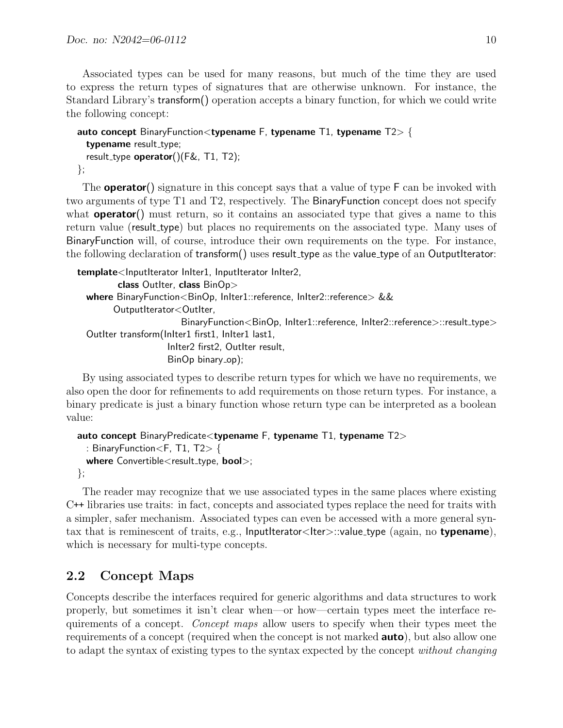Associated types can be used for many reasons, but much of the time they are used to express the return types of signatures that are otherwise unknown. For instance, the Standard Library's transform() operation accepts a binary function, for which we could write the following concept:

```
auto concept BinaryFunction <typename F, typename T1, typename T2 > \{typename result_type;
  result_type operator()(F&, T1, T2);};
```
The **operator**() signature in this concept says that a value of type  $\mathsf{F}$  can be invoked with two arguments of type T1 and T2, respectively. The BinaryFunction concept does not specify what **operator**() must return, so it contains an associated type that gives a name to this return value (result\_type) but places no requirements on the associated type. Many uses of BinaryFunction will, of course, introduce their own requirements on the type. For instance, the following declaration of transform() uses result\_type as the value\_type of an OutputIterator:

```
template<InputIterator InIter1, InputIterator InIter2,
         class OutIter, class BinOp>
  where BinaryFunction<BinOp, InIter1::reference, InIter2::reference> &&
        OutputIterator<OutIter,
                         BinaryFunction<BinOp, InIter1::reference, InIter2::reference>::result_type>
  OutIter transform(InIter1 first1, InIter1 last1,
                     InIter2 first2, OutIter result,
                     BinOp binary_op);
```
By using associated types to describe return types for which we have no requirements, we also open the door for refinements to add requirements on those return types. For instance, a binary predicate is just a binary function whose return type can be interpreted as a boolean value:

```
auto concept BinaryPredicate<typename F, typename T1, typename T2: BinaryFunction<F, T1, T2> {
 where Convertible < result_type, bool>;
};
```
The reader may recognize that we use associated types in the same places where existing C++ libraries use traits: in fact, concepts and associated types replace the need for traits with a simpler, safer mechanism. Associated types can even be accessed with a more general syntax that is reminescent of traits, e.g., InputIterator<Iter> $\sim$ : $\text{value_type}$  (again, no **typename**), which is necessary for multi-type concepts.

## <span id="page-9-0"></span>2.2 Concept Maps

Concepts describe the interfaces required for generic algorithms and data structures to work properly, but sometimes it isn't clear when—or how—certain types meet the interface requirements of a concept. Concept maps allow users to specify when their types meet the requirements of a concept (required when the concept is not marked **auto**), but also allow one to adapt the syntax of existing types to the syntax expected by the concept without changing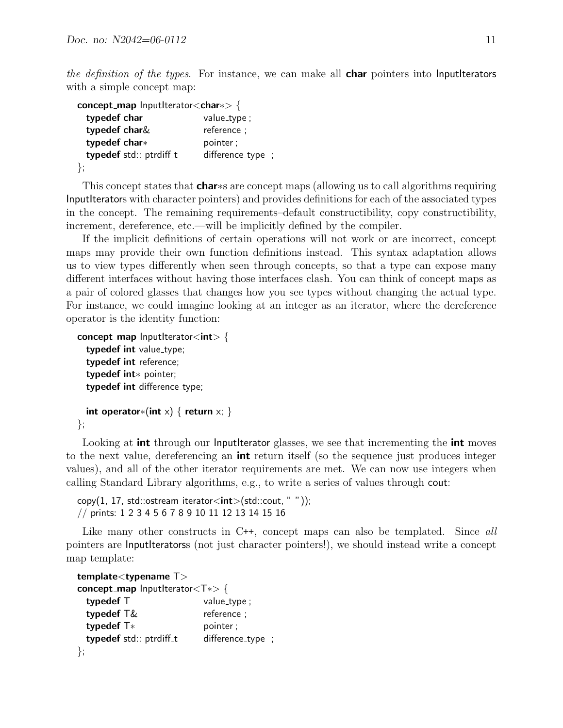the definition of the types. For instance, we can make all **char** pointers into **InputIterators** with a simple concept map:

| $\mathsf{concept\_map}$ InputIterator $<$ char $\gg$ { |                   |
|--------------------------------------------------------|-------------------|
| typedef char                                           | value_type;       |
| typedef char&                                          | reference;        |
| typedef char*                                          | pointer;          |
| typedef std:: ptrdiff_t                                | difference_type ; |
| };                                                     |                   |

This concept states that **char**∗s are concept maps (allowing us to call algorithms requiring InputIterators with character pointers) and provides definitions for each of the associated types in the concept. The remaining requirements–default constructibility, copy constructibility, increment, dereference, etc.—will be implicitly defined by the compiler.

If the implicit definitions of certain operations will not work or are incorrect, concept maps may provide their own function definitions instead. This syntax adaptation allows us to view types differently when seen through concepts, so that a type can expose many different interfaces without having those interfaces clash. You can think of concept maps as a pair of colored glasses that changes how you see types without changing the actual type. For instance, we could imagine looking at an integer as an iterator, where the dereference operator is the identity function:

```
concept_map InputIterator<int> {
  typedef int value_type;
  typedef int reference;
  typedef int∗ pointer;
  typedef int difference_type;
  int operator*(int x) \{ return x; \}
```

```
};
```
Looking at **int** through our **InputIterator** glasses, we see that incrementing the **int** moves to the next value, dereferencing an **int** return itself (so the sequence just produces integer values), and all of the other iterator requirements are met. We can now use integers when calling Standard Library algorithms, e.g., to write a series of values through cout:

```
copy(1, 17, std::ostream\_iterator < int>(std::count, ""));
// prints: 1 2 3 4 5 6 7 8 9 10 11 12 13 14 15 16
```
Like many other constructs in C++, concept maps can also be templated. Since all pointers are InputIteratorss (not just character pointers!), we should instead write a concept map template:

| template <typename t=""></typename>                          |                   |  |
|--------------------------------------------------------------|-------------------|--|
| <b>concept_map</b> InputIterator <t<math>\ast&gt; {</t<math> |                   |  |
| typedef T                                                    | value_type;       |  |
| typedef T&                                                   | reference ;       |  |
| typedef $T*$                                                 | pointer;          |  |
| typedef std:: ptrdiff_t                                      | difference_type ; |  |
|                                                              |                   |  |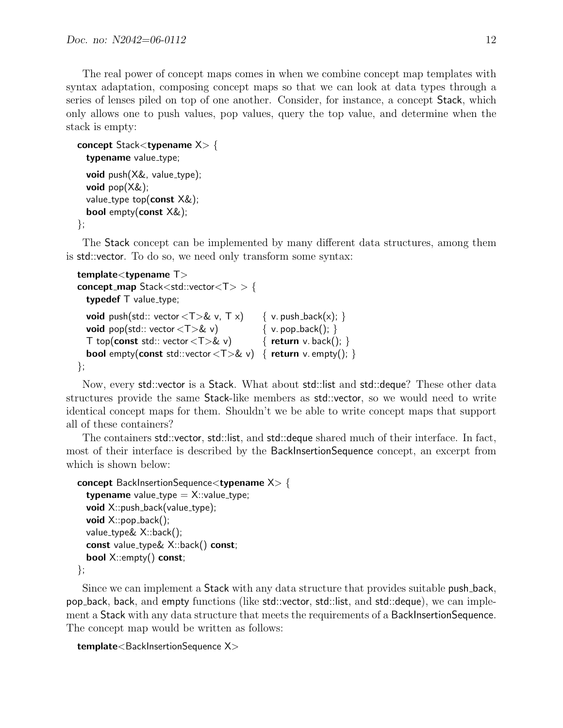The real power of concept maps comes in when we combine concept map templates with syntax adaptation, composing concept maps so that we can look at data types through a series of lenses piled on top of one another. Consider, for instance, a concept Stack, which only allows one to push values, pop values, query the top value, and determine when the stack is empty:

```
concept Stack<typename X> {
 typename value_type;
 void push(X\&, value_type);
 void pop(X&);
 value_type top(const X&);
 bool empty(const X&);
```

```
};
```
The Stack concept can be implemented by many different data structures, among them is std::vector. To do so, we need only transform some syntax:

```
template<typename T>
concept map Stack<std::vector<T> > {
  typedef T value_type;
 void push(std:: vector (T > 2 v, T x) { v. push_back(x); }
 void pop(std:: vector (T>&\& v) { v. pop_back(); }
  T top(const std:: vector <T>& v) \{ return v. back(); \}bool empty(const std::vector (T>\& v) { return v. empty(); }
};
```
Now, every std::vector is a Stack. What about std::list and std::deque? These other data structures provide the same Stack-like members as std::vector, so we would need to write identical concept maps for them. Shouldn't we be able to write concept maps that support all of these containers?

The containers std::vector, std::list, and std::deque shared much of their interface. In fact, most of their interface is described by the BackInsertionSequence concept, an excerpt from which is shown below:

```
concept BackInsertionSequence<typename X> {
  typename value_type = X::value_type;
  void X::push\_back(value_type);void X::pop\_back();
  value type& X::back();
  const value type& X::back() const;
  bool X::empty() const;
```
};

Since we can implement a Stack with any data structure that provides suitable push back, pop back, back, and empty functions (like std::vector, std::list, and std::deque), we can implement a Stack with any data structure that meets the requirements of a BackInsertionSequence. The concept map would be written as follows:

```
template<BackInsertionSequence X>
```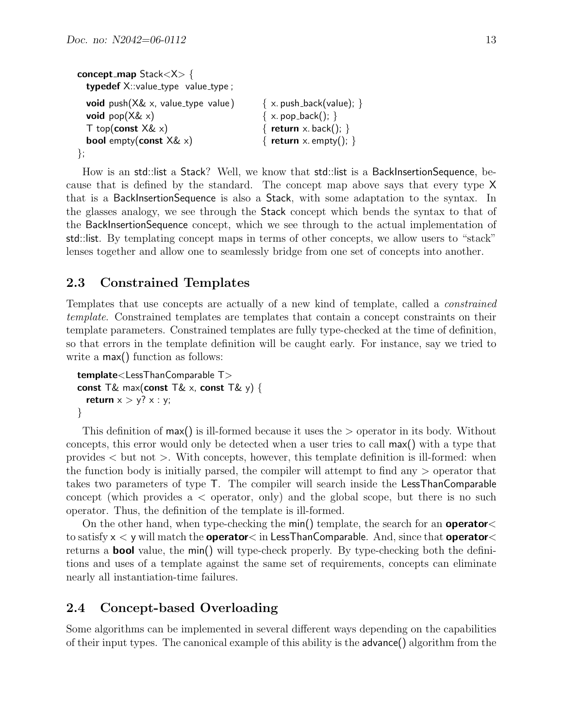```
concept map Stack<X> {
 typedef X::value_type value_type value_type;
 void push(X\& x, value_type value) \{x, \text{push}\} \{x, \text{push}\}void pop(X\& x) \{ x. pop\_back( ); \}T top(const X\& x) { return x. back(); }
 bool empty(const X\& x) { return x. empty(); }
};
```
How is an std::list a Stack? Well, we know that std::list is a BackInsertionSequence, because that is defined by the standard. The concept map above says that every type X that is a BackInsertionSequence is also a Stack, with some adaptation to the syntax. In the glasses analogy, we see through the Stack concept which bends the syntax to that of the BackInsertionSequence concept, which we see through to the actual implementation of std::list. By templating concept maps in terms of other concepts, we allow users to "stack" lenses together and allow one to seamlessly bridge from one set of concepts into another.

### <span id="page-12-0"></span>2.3 Constrained Templates

Templates that use concepts are actually of a new kind of template, called a constrained template. Constrained templates are templates that contain a concept constraints on their template parameters. Constrained templates are fully type-checked at the time of definition, so that errors in the template definition will be caught early. For instance, say we tried to write a  $max()$  function as follows:

```
template<LessThanComparable T>
const T& max(const T& x, const T& y) {
  return x > y? x : y;
}
```
This definition of max() is ill-formed because it uses the > operator in its body. Without concepts, this error would only be detected when a user tries to call max() with a type that provides  $\lt$  but not  $\gt$ . With concepts, however, this template definition is ill-formed: when the function body is initially parsed, the compiler will attempt to find any > operator that takes two parameters of type T. The compiler will search inside the LessThanComparable concept (which provides  $a <$  operator, only) and the global scope, but there is no such operator. Thus, the definition of the template is ill-formed.

On the other hand, when type-checking the min() template, the search for an **operator** to satisfy  $x < y$  will match the **operator**  $\lt$  in LessThanComparable. And, since that **operator**  $\lt$ returns a **bool** value, the min() will type-check properly. By type-checking both the definitions and uses of a template against the same set of requirements, concepts can eliminate nearly all instantiation-time failures.

### <span id="page-12-1"></span>2.4 Concept-based Overloading

Some algorithms can be implemented in several different ways depending on the capabilities of their input types. The canonical example of this ability is the advance() algorithm from the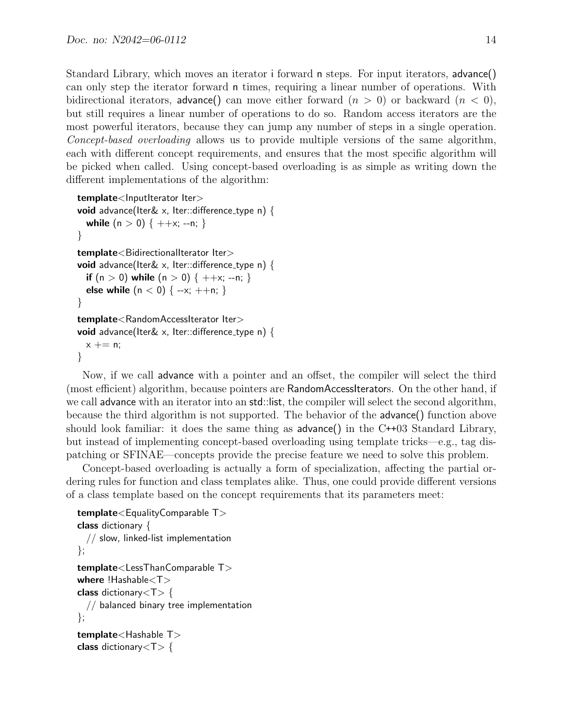Standard Library, which moves an iterator i forward n steps. For input iterators, advance() can only step the iterator forward n times, requiring a linear number of operations. With bidirectional iterators, advance() can move either forward  $(n > 0)$  or backward  $(n < 0)$ , but still requires a linear number of operations to do so. Random access iterators are the most powerful iterators, because they can jump any number of steps in a single operation. Concept-based overloading allows us to provide multiple versions of the same algorithm, each with different concept requirements, and ensures that the most specific algorithm will be picked when called. Using concept-based overloading is as simple as writing down the different implementations of the algorithm:

```
template<InputIterator Iter>
void advance(Iter& x, Iter::difference_type n) {
  while (n > 0) { ++x; --n; }
}
template<BidirectionalIterator Iter>
void advance(Iter& x, Iter::difference_type n) {
  if (n > 0) while (n > 0) \{ ++x; -n; \}else while (n < 0) { --x; ++n; }
}
template<RandomAccessIterator Iter>
void advance(Iter& x, Iter::difference_type n) {
 x \neq n;
}
```
Now, if we call advance with a pointer and an offset, the compiler will select the third (most efficient) algorithm, because pointers are RandomAccessIterators. On the other hand, if we call advance with an iterator into an std::list, the compiler will select the second algorithm, because the third algorithm is not supported. The behavior of the advance() function above should look familiar: it does the same thing as  $advance()$  in the  $C++03$  Standard Library, but instead of implementing concept-based overloading using template tricks—e.g., tag dispatching or SFINAE—concepts provide the precise feature we need to solve this problem.

Concept-based overloading is actually a form of specialization, affecting the partial ordering rules for function and class templates alike. Thus, one could provide different versions of a class template based on the concept requirements that its parameters meet:

```
template<EqualityComparable T>
class dictionary {
  // slow, linked-list implementation
};
template<LessThanComparable T>
where !Hashable<T>
class dictionary\langle T \rangle {
  // balanced binary tree implementation
};
template<Hashable T>
class dictionary<\tau {
```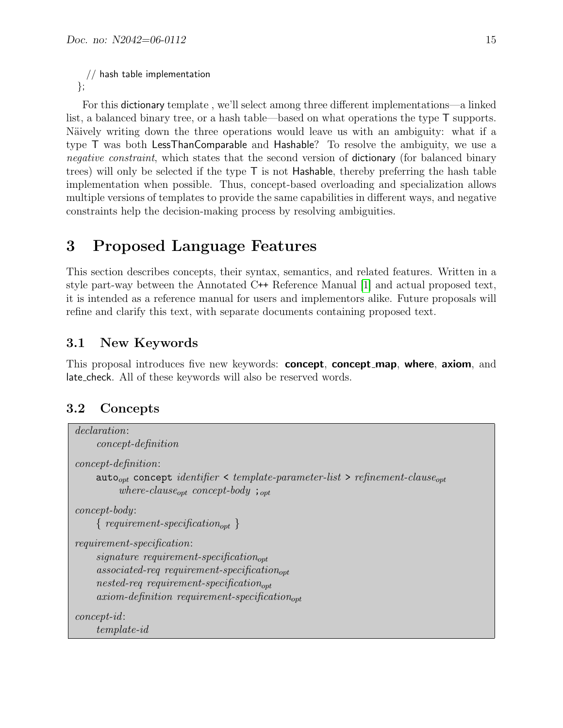```
// hash table implementation
};
```
For this dictionary template , we'll select among three different implementations—a linked list, a balanced binary tree, or a hash table—based on what operations the type T supports. Näively writing down the three operations would leave us with an ambiguity: what if a type T was both LessThanComparable and Hashable? To resolve the ambiguity, we use a negative constraint, which states that the second version of dictionary (for balanced binary trees) will only be selected if the type  $\bar{T}$  is not Hashable, thereby preferring the hash table implementation when possible. Thus, concept-based overloading and specialization allows multiple versions of templates to provide the same capabilities in different ways, and negative constraints help the decision-making process by resolving ambiguities.

# <span id="page-14-0"></span>3 Proposed Language Features

This section describes concepts, their syntax, semantics, and related features. Written in a style part-way between the Annotated C++ Reference Manual [\[1\]](#page-46-2) and actual proposed text, it is intended as a reference manual for users and implementors alike. Future proposals will refine and clarify this text, with separate documents containing proposed text.

## <span id="page-14-1"></span>3.1 New Keywords

This proposal introduces five new keywords: concept, concept\_map, where, axiom, and late check. All of these keywords will also be reserved words.

## <span id="page-14-2"></span>3.2 Concepts

```
declaration:
     concept-definition
concept-definition:
     auto<sub>opt</sub> concept identifier < template-parameter-list > refinement-clause<sub>opt</sub>
          where-clause<sub>opt</sub> concept-body ; _{opt}concept-body:
     { requirement-specification_{opt}}
requirement-specification:
     signature\ requirement-specification_{cont}associated-req requirement-specification<sub>opt</sub>
     nested-req requirement-specification_{opt}axiom-definition requirement-specification_{cont}concept-id:
     template-id
```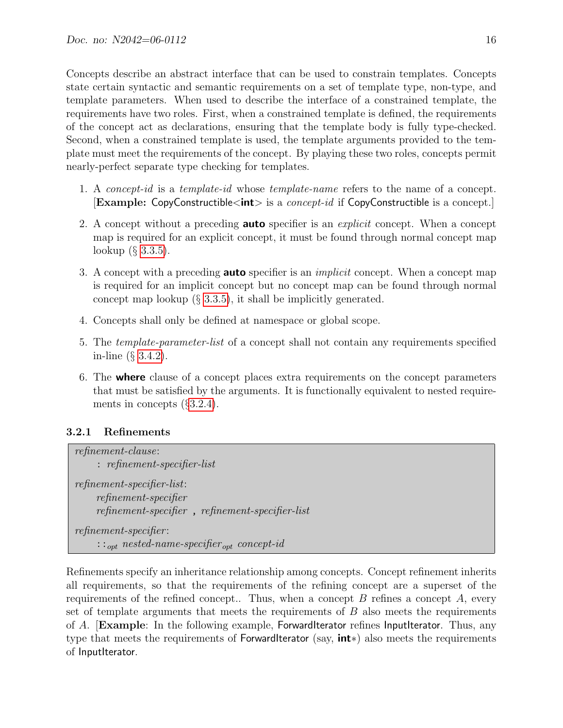Concepts describe an abstract interface that can be used to constrain templates. Concepts state certain syntactic and semantic requirements on a set of template type, non-type, and template parameters. When used to describe the interface of a constrained template, the requirements have two roles. First, when a constrained template is defined, the requirements of the concept act as declarations, ensuring that the template body is fully type-checked. Second, when a constrained template is used, the template arguments provided to the template must meet the requirements of the concept. By playing these two roles, concepts permit nearly-perfect separate type checking for templates.

- 1. A concept-id is a template-id whose template-name refers to the name of a concept. **[Example: CopyConstructible<int>** is a *concept-id* if CopyConstructible is a concept.]
- 2. A concept without a preceding **auto** specifier is an *explicit* concept. When a concept map is required for an explicit concept, it must be found through normal concept map lookup (§ [3.3.5\)](#page-30-0).
- 3. A concept with a preceding **auto** specifier is an *implicit* concept. When a concept map is required for an implicit concept but no concept map can be found through normal concept map lookup  $(\S 3.3.5)$  $(\S 3.3.5)$ , it shall be implicitly generated.
- 4. Concepts shall only be defined at namespace or global scope.
- 5. The template-parameter-list of a concept shall not contain any requirements specified in-line (§ [3.4.2\)](#page-35-0).
- 6. The where clause of a concept places extra requirements on the concept parameters that must be satisfied by the arguments. It is functionally equivalent to nested requirements in concepts (§[3.2.4\)](#page-20-0).

### <span id="page-15-0"></span>3.2.1 Refinements

refinement-clause: : refinement-specifier-list refinement-specifier-list: refinement-specifier refinement-specifier , refinement-specifier-list refinement-specifier :  $::<sub>opt</sub> nested-name-specific  $r_{opt}$  concept-id$ 

Refinements specify an inheritance relationship among concepts. Concept refinement inherits all requirements, so that the requirements of the refining concept are a superset of the requirements of the refined concept.. Thus, when a concept  $B$  refines a concept  $A$ , every set of template arguments that meets the requirements of  $B$  also meets the requirements of A. **[Example:** In the following example, ForwardIterator refines InputIterator. Thus, any type that meets the requirements of ForwardIterator (say, int∗) also meets the requirements of InputIterator.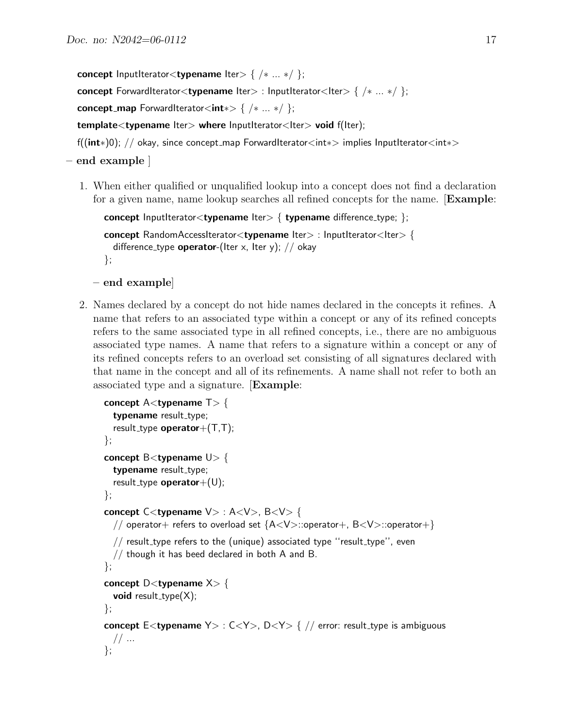concept InputIterator<typename Iter>  $\{ \ / \ * \ ... \ * \ / \ };$ 

concept ForwardIterator<typename Iter> : InputIterator<Iter> { /\* ... \*/ };

concept\_map ForwardIterator<int∗> {  $/* ...*/$  };

template<typename lter> where InputIterator<Iter> void f(Iter);

```
f((int∗)0); // okay, since concept map ForwardIterator<int∗> implies InputIterator<int∗>
```
#### – end example ]

1. When either qualified or unqualified lookup into a concept does not find a declaration for a given name, name lookup searches all refined concepts for the name. [Example:

```
concept InputIterator<typename Iter> \{ typename difference_type; \};concept RandomAccessIterator<typename Iter> : InputIterator<Iter> {
  difference_type operator-(Iter x, Iter y); // okay
};
```

```
– end example]
```
2. Names declared by a concept do not hide names declared in the concepts it refines. A name that refers to an associated type within a concept or any of its refined concepts refers to the same associated type in all refined concepts, i.e., there are no ambiguous associated type names. A name that refers to a signature within a concept or any of its refined concepts refers to an overload set consisting of all signatures declared with that name in the concept and all of its refinements. A name shall not refer to both an associated type and a signature. [Example:

```
concept A lttypename T gt \{typename result_type;
  result_type operator+(T,T);
};
concept \mathsf{B}<typename \mathsf{U}> {
  typename result_type;
  result_type operator +(U);
};
concept C<typename V> : A<V>, B<V> {
  // operator+ refers to overload set {A<V>::operator+, B<V>::operator+}
  // result_type refers to the (unique) associated type "result_type", even
  // though it has beed declared in both A and B.
};
concept D <typename X > \{void result_type(X);
};
concept E<typename Y> : C<Y>, D<Y> { // error: result_type is ambiguous
  // ...
};
```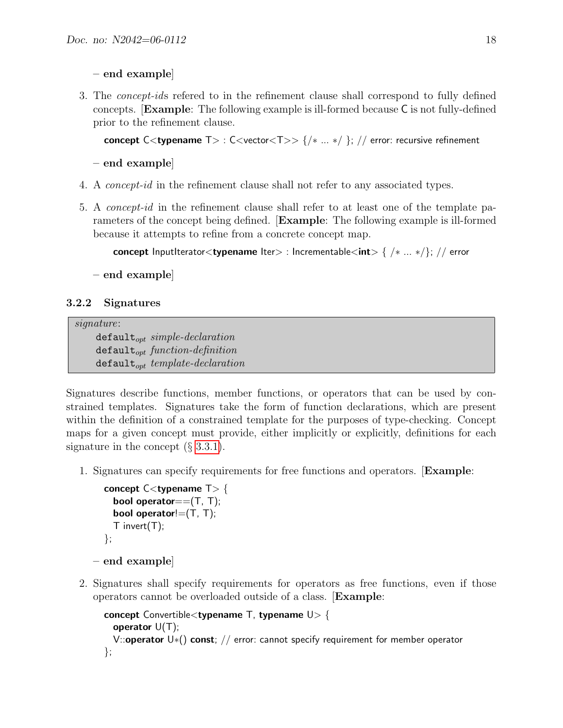– end example]

3. The concept-ids refered to in the refinement clause shall correspond to fully defined concepts. [Example: The following example is ill-formed because C is not fully-defined prior to the refinement clause.

concept C<typename  $T> : C$ <vector< $T>> \{/* ... * / \}$ ; // error: recursive refinement

– end example]

- 4. A concept-id in the refinement clause shall not refer to any associated types.
- 5. A concept-id in the refinement clause shall refer to at least one of the template parameters of the concept being defined. [Example: The following example is ill-formed because it attempts to refine from a concrete concept map.

concept InputIterator<typename Iter> : Incrementable<int> {  $/* ...*/$ }; // error

– end example]

#### <span id="page-17-0"></span>3.2.2 Signatures

signature:

 $\texttt{default}_{opt}$  simple-declaration  $\texttt{default}_{\textit{out}}$  function-definition  $\texttt{default}_{opt}$  template-declaration

Signatures describe functions, member functions, or operators that can be used by constrained templates. Signatures take the form of function declarations, which are present within the definition of a constrained template for the purposes of type-checking. Concept maps for a given concept must provide, either implicitly or explicitly, definitions for each signature in the concept  $(\S 3.3.1)$  $(\S 3.3.1)$ .

1. Signatures can specify requirements for free functions and operators. [Example:

```
concept C lt typename T gt \{bool operator==(T, T);
  bool operator!=(T, T);
  T invert(T);
};
```

```
– end example]
```
2. Signatures shall specify requirements for operators as free functions, even if those operators cannot be overloaded outside of a class. [Example:

```
concept Convertible<typename T, typename U> {
  operator U(T);
  V::operator U*() const; // error: cannot specify requirement for member operator
};
```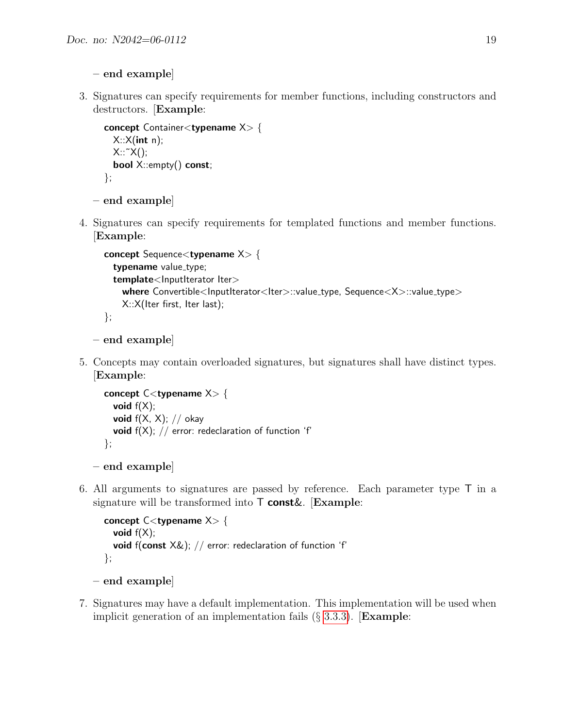- end example]
- 3. Signatures can specify requirements for member functions, including constructors and destructors. [Example:

```
concept Container<typename X> {
  X::X(int n);X::^{\sim}X();
  bool X::empty() const;
};
```

```
– end example]
```
4. Signatures can specify requirements for templated functions and member functions. [Example:

```
concept Sequence<typename X> {
  typename value_type;
  template<lnputIterator Iter>
    where Convertible<InputIterator<Iter>::value_type, Sequence<X>::value_type>
    X::X(Iter first, Iter last);
};
```

```
– end example]
```
5. Concepts may contain overloaded signatures, but signatures shall have distinct types. [Example:

```
concept C<typename X> {
  void f(X);
  void f(X, X); // okay
  void f(X); // error: redeclaration of function 'f'
};
```

```
– end example]
```
6. All arguments to signatures are passed by reference. Each parameter type T in a signature will be transformed into  $\mathsf T$  const &. [Example:

```
concept C<typename X> {
  void f(X);
  void f(const X&); // error: redeclaration of function 'f'
};
```

```
– end example]
```
7. Signatures may have a default implementation. This implementation will be used when implicit generation of an implementation fails  $(\S 3.3.3)$  $(\S 3.3.3)$ . **[Example:**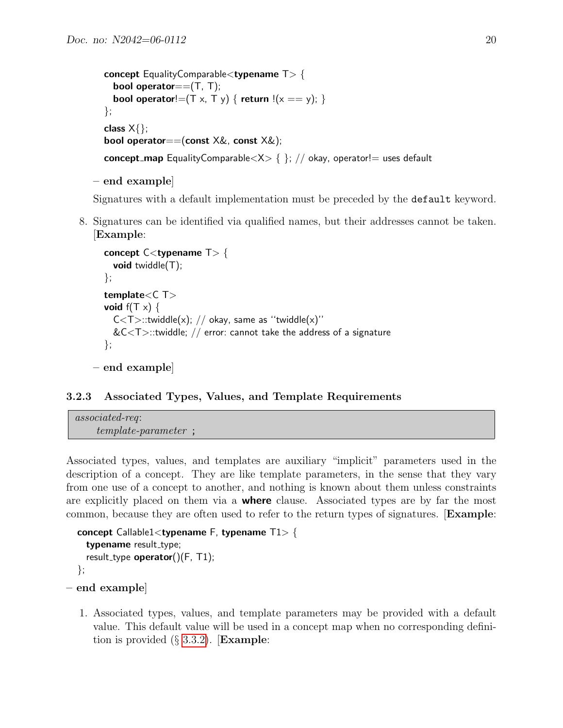```
concept EqualityComparable<typename T> {
  bool operator==(T, T);
  bool operator!=(T \times, T \times) { return !(x == y); }
};
class X{};
bool operator==(const X&, const X&);
concept_map EqualityComparable\langle X \rangle { }; // okay, operator!= uses default
```

```
– end example]
```
Signatures with a default implementation must be preceded by the default keyword.

8. Signatures can be identified via qualified names, but their addresses cannot be taken. [Example:

```
concept C<typename T> {
    void twiddle(T);
  };
  template<C T>
  void f(T \times) {
    C < T >::twiddle(x); // okay, same as "twiddle(x)"
     &C\langleT>::twiddle; // error: cannot take the address of a signature
  };
– end example]
```

```
3.2.3 Associated Types, Values, and Template Requirements
```

```
associated-req:
    template-parameter ;
```
Associated types, values, and templates are auxiliary "implicit" parameters used in the description of a concept. They are like template parameters, in the sense that they vary from one use of a concept to another, and nothing is known about them unless constraints are explicitly placed on them via a **where** clause. Associated types are by far the most common, because they are often used to refer to the return types of signatures. [Example:

```
concept Callable1<typename F, typename T1> {
  typename result_type;
  result_type operator()(F, T1);
};
```

```
– end example]
```
1. Associated types, values, and template parameters may be provided with a default value. This default value will be used in a concept map when no corresponding definition is provided  $(\S$  [3.3.2\)](#page-26-0). **Example:**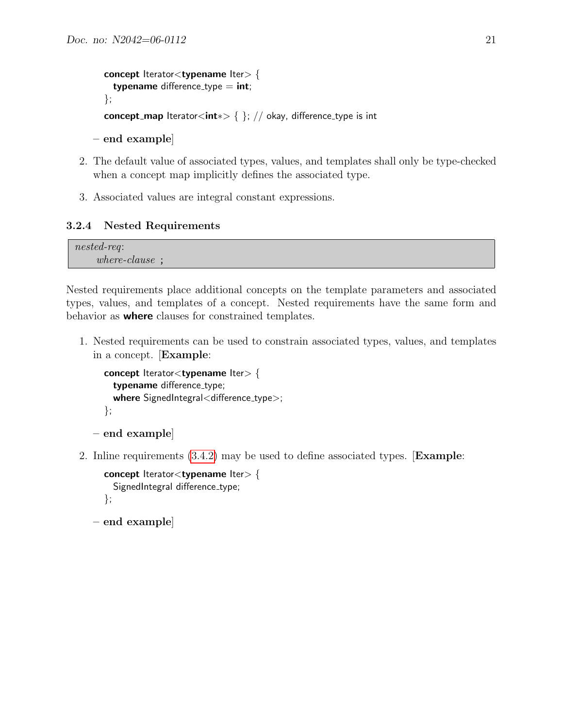```
concept Iteratorlttypename Itergt {
  typename difference_type = int;
};
concept_map lterator<int\ast> { }; // okay, difference_type is int
```

```
– end example]
```
- 2. The default value of associated types, values, and templates shall only be type-checked when a concept map implicitly defines the associated type.
- 3. Associated values are integral constant expressions.

### <span id="page-20-0"></span>3.2.4 Nested Requirements

nested-req: where-clause ;

Nested requirements place additional concepts on the template parameters and associated types, values, and templates of a concept. Nested requirements have the same form and behavior as where clauses for constrained templates.

1. Nested requirements can be used to constrain associated types, values, and templates in a concept. [Example:

```
concept Iterator<typename Iter> {
    typename difference_type;
    where SignedIntegral<difference_type>;
  };
– end example]
```
2. Inline requirements [\(3.4.2\)](#page-35-0) may be used to define associated types. [Example:

```
concept Iterator<typename Iter> {
    SignedIntegral difference_type;
  };
– end example]
```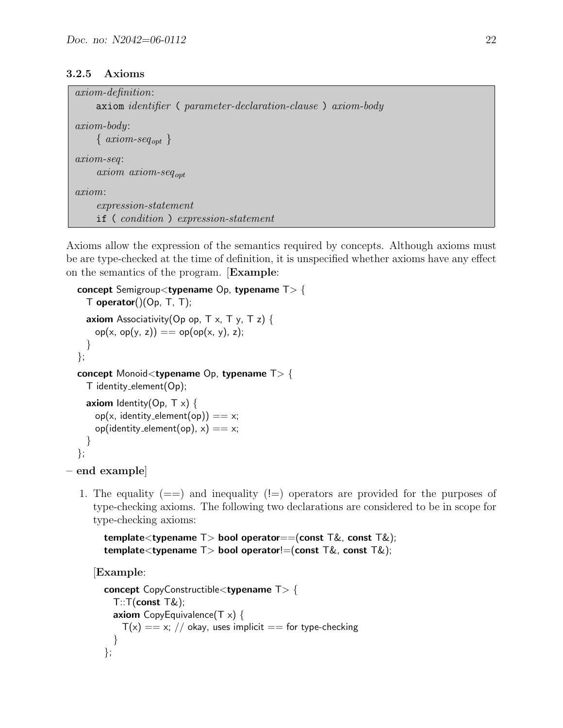#### <span id="page-21-0"></span>3.2.5 Axioms

| <i>axiom-definition</i> :                                    |
|--------------------------------------------------------------|
| axiom identifier ( parameter-declaration-clause ) axiom-body |
| $axiom-body:$                                                |
| $\{axiom-seq_{opt}\}$                                        |
| $axiom-seq$ :                                                |
| $axiom\_axiom-seq_{opt}$                                     |
| axiom:                                                       |
| $expression-state ment$                                      |
| if (condition) expression-statement                          |

Axioms allow the expression of the semantics required by concepts. Although axioms must be are type-checked at the time of definition, it is unspecified whether axioms have any effect on the semantics of the program. [Example:

```
concept Semigroup<typename Op, typename T> {
  T operator()(Op, T, T);
  axiom Associativity(Op op, T x, T y, T z) {
    op(x, op(y, z)) == op(op(x, y), z);}
};
concept Monoid<typename Op, typename T> {
  T identity element(Op);
  axiom Identity(Op, T \times) {
    op(x, identity_element(op)) == x;op(identity_element(op), x) == x;
  }
};
```

```
– end example]
```
1. The equality  $(==)$  and inequality  $(!=)$  operators are provided for the purposes of type-checking axioms. The following two declarations are considered to be in scope for type-checking axioms:

```
template<typename T> bool operator==(const T\&, const T\&);
template<typename T> bool operator!=(const T\&, const T\&);
```
[Example:

```
concept CopyConstructible<typename T> {
  T: T(const T\&);
  axiom CopyEquivalence(T x) {
    T(x) = x; // okay, uses implicit = for type-checking
  }
};
```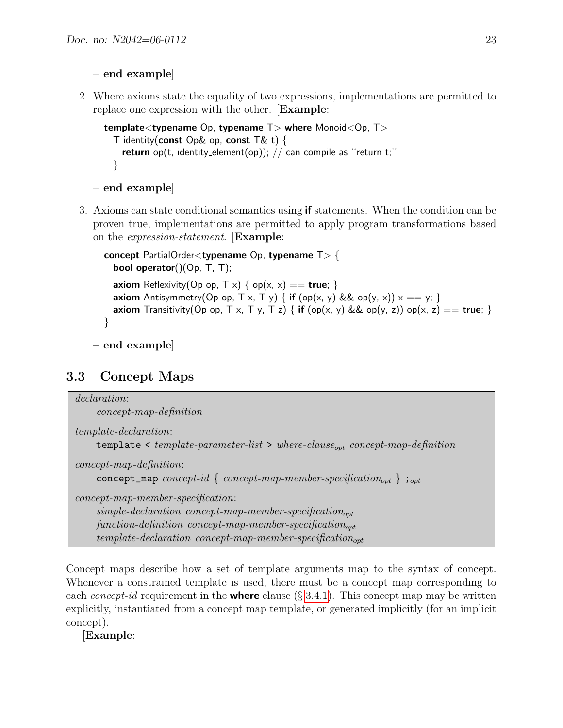- end example]
- 2. Where axioms state the equality of two expressions, implementations are permitted to replace one expression with the other. [Example:

```
template<typename Op, typename T where Monoid < Op, T >
 T identity(const Op& op, const T& t) {
    return op(t, identity element(op)); // can compile as "return t;"
 }
```

```
– end example]
```
3. Axioms can state conditional semantics using if statements. When the condition can be proven true, implementations are permitted to apply program transformations based on the expression-statement. [Example:

```
concept PartialOrder<typename Op, typename T> {
  bool operator()(Op, T, T);
  axiom Reflexivity(Op op, T x) { op(x, x) == true; }
  axiom Antisymmetry(Op op, T x, T y) { if (op(x, y) && op(y, x)) x == y; }
  axiom Transitivity(Op op, T x, T y, T z) { if (op(x, y) && op(y, z)) op(x, z) == true; }
}
```
– end example]

## <span id="page-22-0"></span>3.3 Concept Maps

```
declaration:
     concept-map-definition
template-declaration:
     template \leq template-parameter-list \geq where-clause<sub>ont</sub> concept-map-definition
concept-map-definition:
     concept_map concept-id { concept-map-member-specification<sub>opt</sub> } ;<sub>opt</sub>
concept-map-member-specification:
     simple-declaration\ concept-map-member-specification_{cont}function-definition concept-map-member-specification_{\text{out}}template-declaration concept-map-member-specification<sub>cont</sub>
```
Concept maps describe how a set of template arguments map to the syntax of concept. Whenever a constrained template is used, there must be a concept map corresponding to each *concept-id* requirement in the **where** clause  $(\S 3.4.1)$  $(\S 3.4.1)$ . This concept map may be written explicitly, instantiated from a concept map template, or generated implicitly (for an implicit concept).

[Example: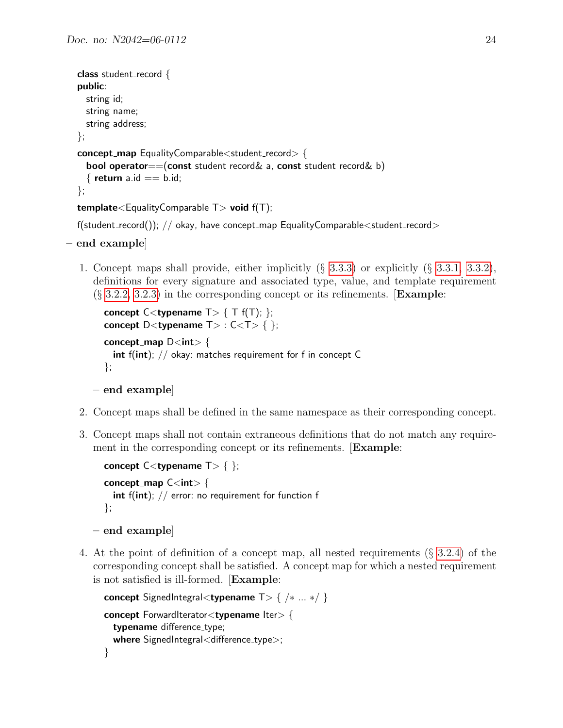```
class student_record {
public:
  string id;
  string name;
 string address;
};
concept map EqualityComparable<student record> {
  bool operator==(const student record& a, const student record& b)
  \{ return a.id == b.id;
};
template <EqualityComparable T void f(T);
```

```
f(\text{student\_record}()); // okay, have concept_map EqualityComparable\ltstudent_record>
```

```
– end example]
```
1. Concept maps shall provide, either implicitly (§ [3.3.3\)](#page-27-0) or explicitly (§ [3.3.1,](#page-24-0) [3.3.2\)](#page-26-0), definitions for every signature and associated type, value, and template requirement  $(\S 3.2.2, 3.2.3)$  $(\S 3.2.2, 3.2.3)$  $(\S 3.2.2, 3.2.3)$  in the corresponding concept or its refinements. **[Example:** 

```
concept C < typename T > \{T f(T); \};
concept D<typename T> : C < T> \{ \};
concept_map D < int > \{int f(int); // okay: matches requirement for f in concept C};
```

```
– end example]
```
- 2. Concept maps shall be defined in the same namespace as their corresponding concept.
- 3. Concept maps shall not contain extraneous definitions that do not match any requirement in the corresponding concept or its refinements. **[Example:**

```
concept C < typename T > \{ \};
concept_map C <int > {
  int f(int); // error: no requirement for function f
};
```

```
– end example]
```
4. At the point of definition of a concept map, all nested requirements (§ [3.2.4\)](#page-20-0) of the corresponding concept shall be satisfied. A concept map for which a nested requirement is not satisfied is ill-formed. [Example:

```
concept SignedIntegral<typename T> { /∗ ... ∗/ }
concept ForwardIterator<typename Iter> {
  typename difference_type;
  where SignedIntegral<difference_type>;
}
```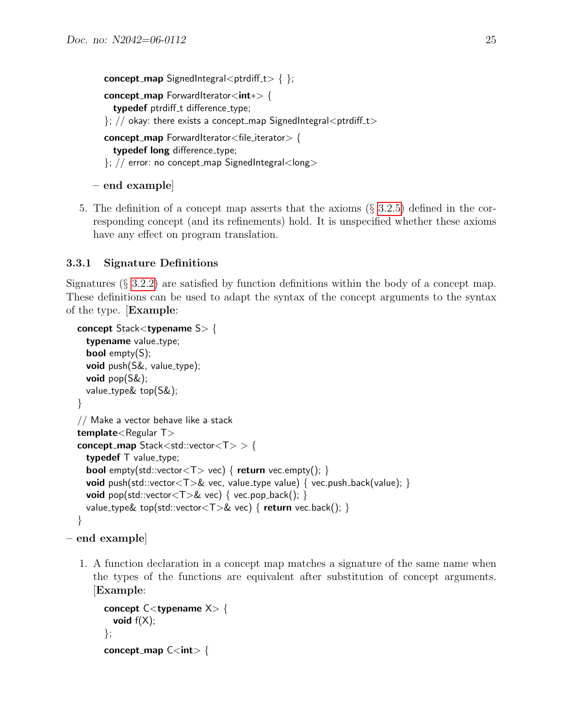```
concept_map SignedIntegral<ptrdiff t > { };
concept map ForwardIterator<int∗> {
  typedef ptrdiff_t difference_type;
\}; // okay: there exists a concept_map SignedIntegral<ptrdiff_t>
concept map ForwardIterator<file iterator> {
  typedef long difference_type;
\}; // error: no concept_map SignedIntegral<long>
```

```
– end example]
```
5. The definition of a concept map asserts that the axioms (§ [3.2.5\)](#page-21-0) defined in the corresponding concept (and its refinements) hold. It is unspecified whether these axioms have any effect on program translation.

### <span id="page-24-0"></span>3.3.1 Signature Definitions

Signatures (§ [3.2.2\)](#page-17-0) are satisfied by function definitions within the body of a concept map. These definitions can be used to adapt the syntax of the concept arguments to the syntax of the type. [Example:

```
concept Stack<typename S> {
 typename value_type;
 bool empty(S);
 void push(S&, value_type);
 void pop(S\&);
 value type& top(S&);
}
// Make a vector behave like a stack
template<Regular T>
concept_map Stack<std::vector<T> > {
 typedef T value_type;
  bool empty(std::vector<T> vec) { return vec.empty(); }
 void push(std::vector(T)& vec, value_type value) { vec.push_back(value); }
 void pop(std::vector<T>& vec) { vec.pop_back(); }
 value_type& top(std::vector<T>& vec) { return vec.back(); }
}
```

```
– end example]
```
1. A function declaration in a concept map matches a signature of the same name when the types of the functions are equivalent after substitution of concept arguments. [Example:

```
concept C<typename X> {
  void f(X);
};
concept_map C <int > {
```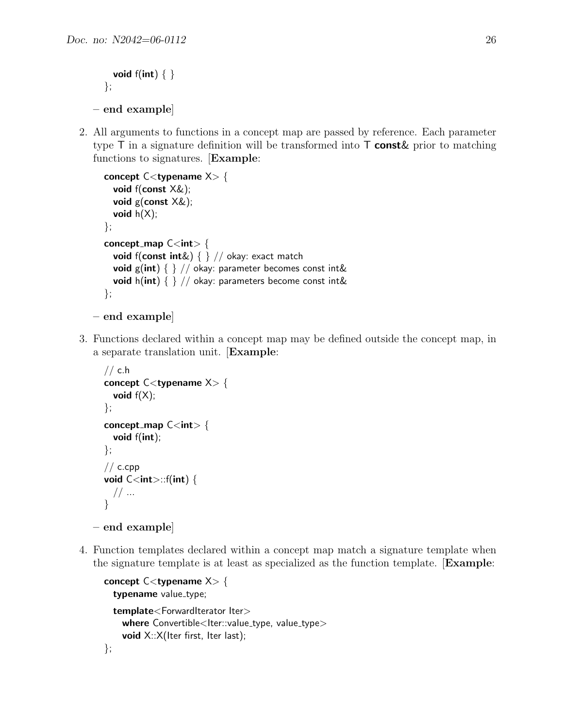```
void f(int) \{ \}};
– end example]
```
2. All arguments to functions in a concept map are passed by reference. Each parameter type  $\mathsf T$  in a signature definition will be transformed into  $\mathsf T$  const $\&$  prior to matching functions to signatures. [Example:

```
concept C<typename X> {
    void f(const X&);
    void g(const X&);
    void h(X);
  };
  concept_map C < int > {
    void f(const int&) \{\} // okay: exact match
    void g(int) \{\} // okay: parameter becomes const int&
    void h(int) \{\} // okay: parameters become const int&
  };
– end example]
```
3. Functions declared within a concept map may be defined outside the concept map, in a separate translation unit. [Example:

```
// c.h
concept C<typename X> {
  void f(X);
};
concept_map C <int > {
  void f(int);
};
// c.cpp
void C <int >:: f(int) {
 // ...
}
```

```
– end example]
```
4. Function templates declared within a concept map match a signature template when the signature template is at least as specialized as the function template. [Example:

```
concept C<typename X> {
  typename value_type;
  template<ForwardIterator Iter>
    where Convertible < |ter::value\_type, value\_type>void X::X(Iter first, Iter last);
};
```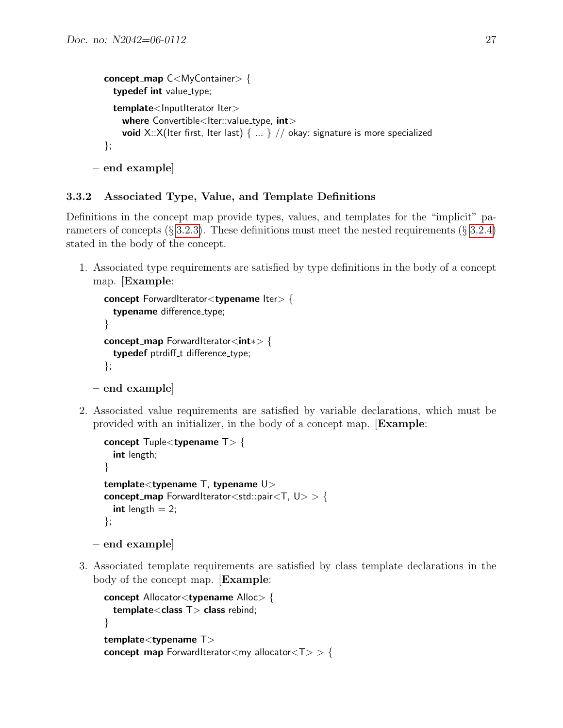```
concept_map C<MyContainer> {
  typedef int value_type;
  template<lnputIterator Iter>
    where Convertible < |ter::value_type, int>void X::X(Iter first, Iter last) \{ \dots \} // okay: signature is more specialized
};
```

```
– end example]
```
### <span id="page-26-0"></span>3.3.2 Associated Type, Value, and Template Definitions

Definitions in the concept map provide types, values, and templates for the "implicit" parameters of concepts  $(\S 3.2.3)$  $(\S 3.2.3)$ . These definitions must meet the nested requirements  $(\S 3.2.4)$  $(\S 3.2.4)$ stated in the body of the concept.

1. Associated type requirements are satisfied by type definitions in the body of a concept map. [Example:

```
concept ForwardIterator<typename Iter> {
    typename difference_type;
  }
  concept map ForwardIterator<int∗> {
    typedef ptrdiff_t difference_type;
  };
– end example]
```
2. Associated value requirements are satisfied by variable declarations, which must be provided with an initializer, in the body of a concept map. [Example:

```
concept Tuplelttypename Tgt {
  int length;
}
template<typename T, typename U>
concept_map ForwardIterator<std::pair<T, U> > {
  int length = 2;
};
```

```
– end example]
```
3. Associated template requirements are satisfied by class template declarations in the body of the concept map. [Example:

```
concept Allocator<typename Alloc> {
  template<class T> class rebind;
}
template<typename T>
\text{concept\_map} ForwardIterator<my_allocator<T> > {
```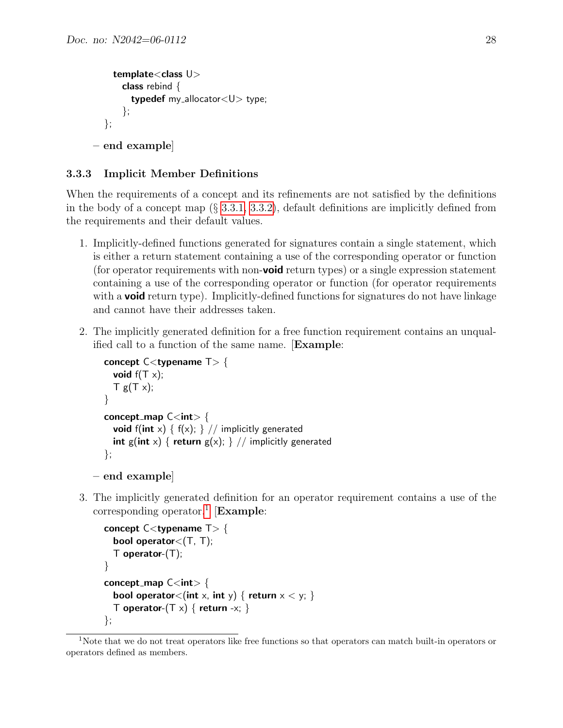```
template<class U>
      class rebind \{typedef my_allocator<U> type;
      };
  };
– end example]
```
#### <span id="page-27-0"></span>3.3.3 Implicit Member Definitions

When the requirements of a concept and its refinements are not satisfied by the definitions in the body of a concept map (§ [3.3.1,](#page-24-0) [3.3.2\)](#page-26-0), default definitions are implicitly defined from the requirements and their default values.

- 1. Implicitly-defined functions generated for signatures contain a single statement, which is either a return statement containing a use of the corresponding operator or function (for operator requirements with non-**void** return types) or a single expression statement containing a use of the corresponding operator or function (for operator requirements with a **void** return type). Implicitly-defined functions for signatures do not have linkage and cannot have their addresses taken.
- 2. The implicitly generated definition for a free function requirement contains an unqualified call to a function of the same name. [Example:

```
concept C<typename T> {
    void f(T \times);
     T g(T x);
  }
  concept_map C <int > {
    void f(int x) { f(x); } // implicitly generated
    int g(int x) { return g(x); } // implicitly generated
  };
– end example]
```
- 
- 3. The implicitly generated definition for an operator requirement contains a use of the corresponding operator.<sup>[1](#page-27-1)</sup> [Example:

```
concept C<typename T> {
  bool operator\lt(T, T);
  \top operator-(\top);
}
concept_map C < int > {
  bool operator<(int x, int y) { return x < y; }
  T operator-(T \times) { return -x; }
};
```
<span id="page-27-1"></span><sup>&</sup>lt;sup>1</sup>Note that we do not treat operators like free functions so that operators can match built-in operators or operators defined as members.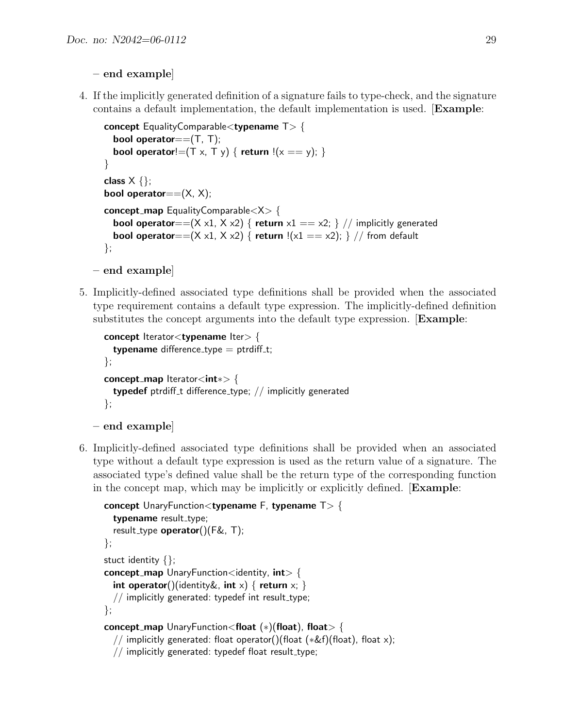### – end example]

4. If the implicitly generated definition of a signature fails to type-check, and the signature contains a default implementation, the default implementation is used. [Example:

```
concept EqualityComparable<typename T> {
  bool operator==(T, T);
  bool operator!=(T \times, T \times) { return !(x == y); }
}
class X \{\};bool operator==(X, X);
concept map EqualityComparable<X> {
  bool operator==(X x1, X x2) { return x1 == x2; } // implicitly generated
  bool operator==(X x1, X x2) { return !(x1 == x2); } // from default
};
```

```
– end example]
```
5. Implicitly-defined associated type definitions shall be provided when the associated type requirement contains a default type expression. The implicitly-defined definition substitutes the concept arguments into the default type expression. [Example:

```
concept Iterator<typename Iter> {
  typename difference_type = ptrdiff_t;
};
concept_map lterator<int∗> {
  typedef ptrdiff t difference type; // implicitly generated
};
```

```
– end example]
```
6. Implicitly-defined associated type definitions shall be provided when an associated type without a default type expression is used as the return value of a signature. The associated type's defined value shall be the return type of the corresponding function in the concept map, which may be implicitly or explicitly defined. [Example:

```
concept UnaryFunction<typename F, typename T> {
  typename result_type;
  result_type operator((C)(F&, T);
};
stuct identity {};
concept_map UnaryFunction\ltidentity, intgt {
  int operator()(identity &, int x) { return x; }
  // implicitly generated: typedef int result_type;
};
concept_map UnaryFunction<float (*)(float), float> {
  // implicitly generated: float operator()(float (∗&f)(float), float x);
  // implicitly generated: typedef float result_type;
```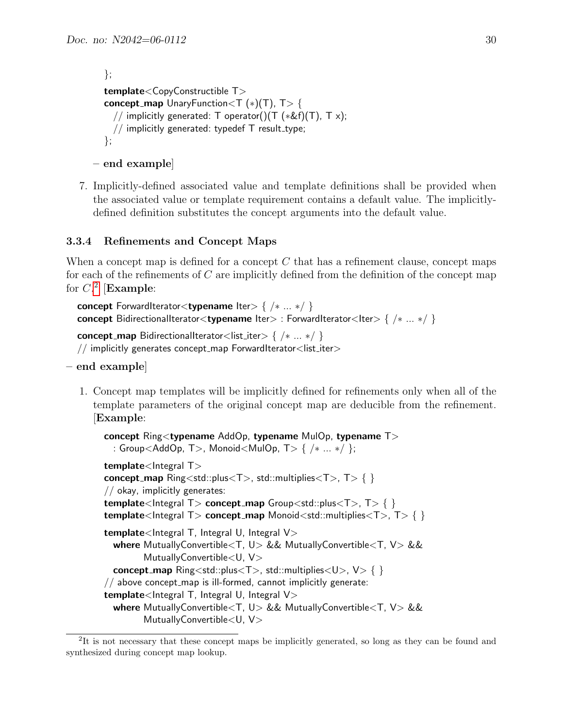```
};
template<CopyConstructible T>
concept_map UnaryFunction (T (*)(T), T > {
  // implicitly generated: T operator()(T (*&f)(T), T x);
  \frac{1}{2} implicitly generated: typedef T result_type;
};
```

```
– end example]
```
7. Implicitly-defined associated value and template definitions shall be provided when the associated value or template requirement contains a default value. The implicitlydefined definition substitutes the concept arguments into the default value.

### <span id="page-29-0"></span>3.3.4 Refinements and Concept Maps

When a concept map is defined for a concept  $C$  that has a refinement clause, concept maps for each of the refinements of  $C$  are implicitly defined from the definition of the concept map for  $C<sup>2</sup>$  $C<sup>2</sup>$  $C<sup>2</sup>$  [Example:

```
concept ForwardIterator<typename Iter> { /∗ ... ∗/ }
concept BidirectionalIterator<typename Iter> : ForwardIterator<Iter> { /∗ ... ∗/ }
concept_map BidirectionalIterator<list_iter> { /* ...*/}
// implicitly generates concept_map ForwardIterator<list_iter>
```
- end example]
	- 1. Concept map templates will be implicitly defined for refinements only when all of the template parameters of the original concept map are deducible from the refinement. [Example:

```
concept Ring<typename AddOp, typename MulOp, typename T>
  : Group<AddOp, T>, Monoid<MulOp, T> { /∗ ... ∗/ };
template<Integral T>
concept_map Ring<std::plus<T>, std::multiplies<T>, T> { }
// okay, implicitly generates:
template<Integral T> concept_map Group<std::plus<T>>, T> { }
template<Integral T> concept_map Monoid<std::multiplies<T>, T> { }
template<Integral T, Integral U, Integral V>
  where MutuallyConvertible<T, U> && MutuallyConvertible<T, V> &&
        MutuallyConvertible < U, V>concept_map Ring<std::plus<T>, std::multiplies<U>, V > \{ \}// above concept_map is ill-formed, cannot implicitly generate:
template<Integral T, Integral U, Integral V>
  where MutuallyConvertible<T, U> && MutuallyConvertible<T, V> &&
        MutuallyConvertible<U, V>
```
<span id="page-29-1"></span><sup>&</sup>lt;sup>2</sup>It is not necessary that these concept maps be implicitly generated, so long as they can be found and synthesized during concept map lookup.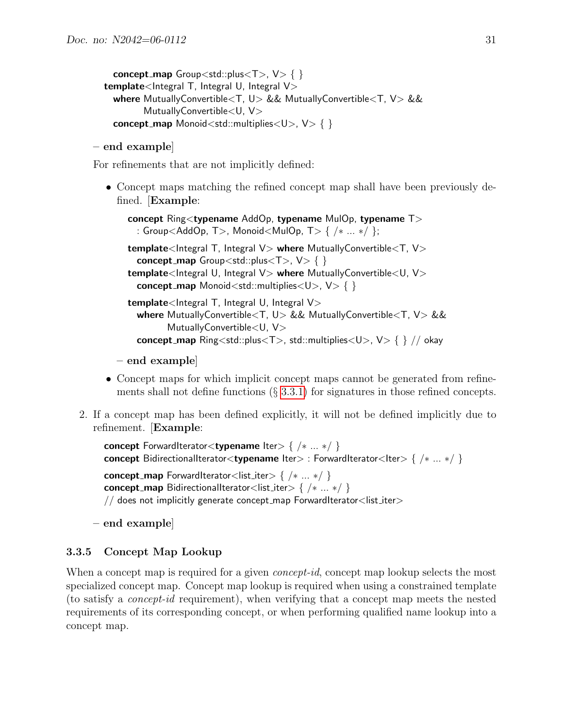```
concept_map Group<std::plus<T>, V > \{ \}template<Integral T, Integral U, Integral V>
 where MutuallyConvertible<T, U> && MutuallyConvertible<T, V> &&
        MutuallyConvertible<U, V>
 concept_map Monoid<std::multiplies<U>, V> { }
```
#### – end example]

For refinements that are not implicitly defined:

• Concept maps matching the refined concept map shall have been previously defined. [Example:

```
concept Ring<typename AddOp, typename MulOp, typename T>
 : Group<AddOp, T>, Monoid<MulOp, T> { /∗ ... ∗/ };
template<Integral T, Integral V> where MutuallyConvertible<T, V>
 concept_map Group<std::plus<T>, V > \{ \}template<Integral U, Integral V> where MutuallyConvertible<U, V>
 concept_map Monoid<std::multiplies<U>, V > \{ \}template<Integral T, Integral U, Integral V>
 where MutuallyConvertible<T, U> && MutuallyConvertible<T, V> &&
        MutuallyConvertible<U, V>
 concept_map Ring<std::plus<T>, std::multiplies<U>, V> { } // okay
```
- end example]
- Concept maps for which implicit concept maps cannot be generated from refinements shall not define functions  $(\S 3.3.1)$  $(\S 3.3.1)$  for signatures in those refined concepts.
- 2. If a concept map has been defined explicitly, it will not be defined implicitly due to refinement. [Example:

```
concept ForwardIterator<typename Iter> { /∗ ... ∗/ }
concept BidirectionalIterator<typename Iter> : ForwardIterator<Iter> { /* ...*/}
concept_map ForwardIterator<list_iter> { /* ...*/}
concept_map BidirectionalIterator<list_iter> { /* ...*/}
// does not implicitly generate concept_map ForwardIterator<list_iter>
```
– end example]

### <span id="page-30-0"></span>3.3.5 Concept Map Lookup

When a concept map is required for a given *concept-id*, concept map lookup selects the most specialized concept map. Concept map lookup is required when using a constrained template (to satisfy a concept-id requirement), when verifying that a concept map meets the nested requirements of its corresponding concept, or when performing qualified name lookup into a concept map.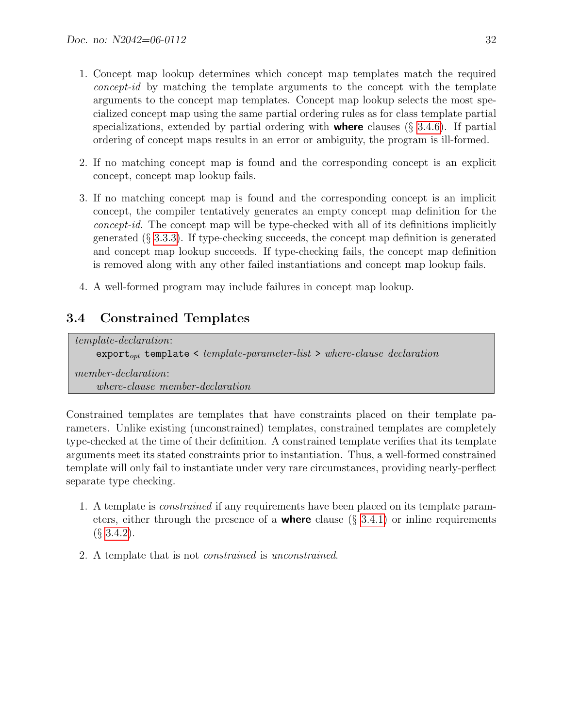- 1. Concept map lookup determines which concept map templates match the required concept-id by matching the template arguments to the concept with the template arguments to the concept map templates. Concept map lookup selects the most specialized concept map using the same partial ordering rules as for class template partial specializations, extended by partial ordering with **where** clauses  $(\S 3.4.6)$  $(\S 3.4.6)$ . If partial ordering of concept maps results in an error or ambiguity, the program is ill-formed.
- 2. If no matching concept map is found and the corresponding concept is an explicit concept, concept map lookup fails.
- 3. If no matching concept map is found and the corresponding concept is an implicit concept, the compiler tentatively generates an empty concept map definition for the concept-id. The concept map will be type-checked with all of its definitions implicitly generated  $(\S 3.3.3)$  $(\S 3.3.3)$ . If type-checking succeeds, the concept map definition is generated and concept map lookup succeeds. If type-checking fails, the concept map definition is removed along with any other failed instantiations and concept map lookup fails.
- 4. A well-formed program may include failures in concept map lookup.

## <span id="page-31-0"></span>3.4 Constrained Templates

template-declaration:  $\text{export}_{opt}$  template < template-parameter-list > where-clause declaration member-declaration: where-clause member-declaration

Constrained templates are templates that have constraints placed on their template parameters. Unlike existing (unconstrained) templates, constrained templates are completely type-checked at the time of their definition. A constrained template verifies that its template arguments meet its stated constraints prior to instantiation. Thus, a well-formed constrained template will only fail to instantiate under very rare circumstances, providing nearly-perflect separate type checking.

- 1. A template is constrained if any requirements have been placed on its template parameters, either through the presence of a **where** clause  $(\S$  [3.4.1\)](#page-32-0) or inline requirements  $(\S$  [3.4.2\)](#page-35-0).
- 2. A template that is not constrained is unconstrained.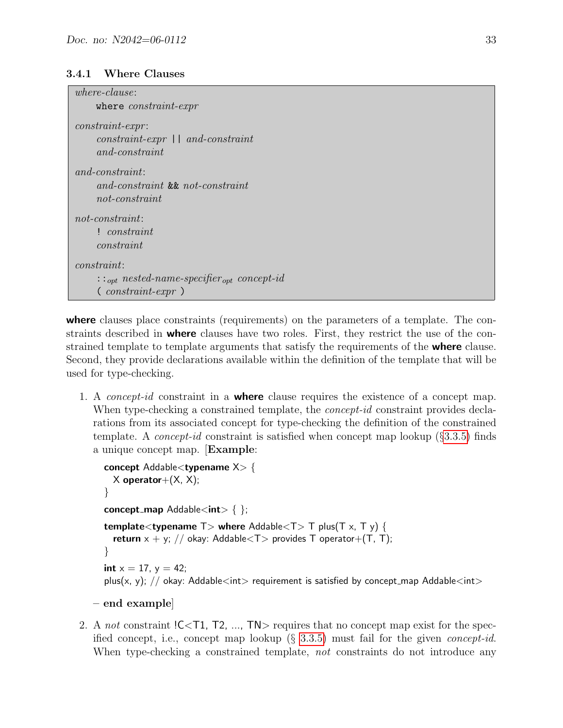#### <span id="page-32-0"></span>3.4.1 Where Clauses

| $where-clause:$                                                                                                |
|----------------------------------------------------------------------------------------------------------------|
| where <i>constraint-expr</i>                                                                                   |
| $constraint\text{-}expr:$<br>$constraint\text{-}expr \mid \text{ } and\text{-}constraint$<br>$and$ -constraint |
| $and$ -constraint:<br>and-constraint & and-constraint<br>$not$ -constraint                                     |
| $not$ -constraint:                                                                                             |
| ! constraint                                                                                                   |
| constant                                                                                                       |
| constraint:                                                                                                    |
| $\ldots_{opt}$ nested-name-specifier <sub>opt</sub> concept-id                                                 |
| $\left($ constraint-expr $\right)$                                                                             |

where clauses place constraints (requirements) on the parameters of a template. The constraints described in **where** clauses have two roles. First, they restrict the use of the constrained template to template arguments that satisfy the requirements of the where clause. Second, they provide declarations available within the definition of the template that will be used for type-checking.

1. A *concept-id* constraint in a **where** clause requires the existence of a concept map. When type-checking a constrained template, the *concept-id* constraint provides declarations from its associated concept for type-checking the definition of the constrained template. A *concept-id* constraint is satisfied when concept map lookup  $(\S3.3.5)$  $(\S3.3.5)$  finds a unique concept map. [Example:

```
concept Addable<typename X> {
  X operator +(X, X);
}
concept_map Addable<int> { };
template<typename T > where Addable<T > T plus(T \times, T y) {
  return x + y; // okay: Addable<T> provides T operator+(T, T);
}
int x = 17, y = 42;
plus(x, y); // okay: Addable<int> requirement is satisfied by concept_map Addable<int>
```

```
– end example]
```
2. A not constraint !C<T1, T2, ..., TN> requires that no concept map exist for the specified concept, i.e., concept map lookup  $(\S 3.3.5)$  $(\S 3.3.5)$  must fail for the given *concept-id.* When type-checking a constrained template, not constraints do not introduce any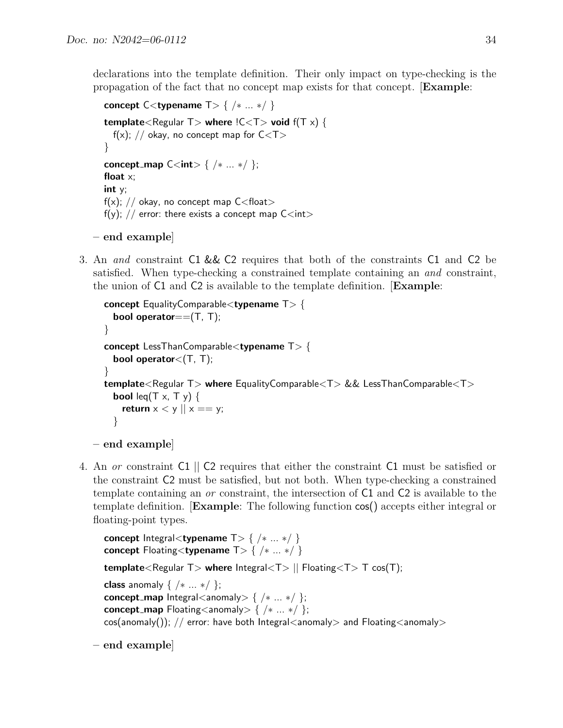declarations into the template definition. Their only impact on type-checking is the propagation of the fact that no concept map exists for that concept. [Example:

```
concept C<typename T> { /* ...*/}
template<Regular T> where !C < T> void f(T \times) {
  f(x); // okay, no concept map for C < T}
concept_map C<int> { /* ...*/ };
float x;
int y;
f(x); // okay, no concept map C < float >
f(y); // error: there exists a concept map C<int>
```

```
– end example]
```
3. An and constraint C1 && C2 requires that both of the constraints C1 and C2 be satisfied. When type-checking a constrained template containing an and constraint, the union of C1 and C2 is available to the template definition. [Example:

```
concept EqualityComparable<typename T> {
  bool operator==(T, T);
}
concept LessThanComparable<typename T> {
  bool operator<(T, T);
}
template<Regular T> where EqualityComparable<T> && LessThanComparable<T>
  bool leq(T x, T y) \{return x < y \mid x == y;
  }
```

```
– end example]
```
4. An or constraint C1 || C2 requires that either the constraint C1 must be satisfied or the constraint C2 must be satisfied, but not both. When type-checking a constrained template containing an or constraint, the intersection of C1 and C2 is available to the template definition. [Example: The following function cos() accepts either integral or floating-point types.

```
concept Integral<typename T > \{ / * ... * / \}concept Floating<typename T > \{ / * ... * / \}template<Regular T> where |ntegral\langle T \rangle || Floating\langle T \rangle T cos(T);
class anomaly \{ \ \n\} ... \ast };
concept_map Integral<anomaly> { /* ...*/ };
concept_map Floating<anomaly> { /* ...*/ };
cos(anomaly()); // error: have both Integral<anomaly> and Floating<anomaly>
```

```
– end example]
```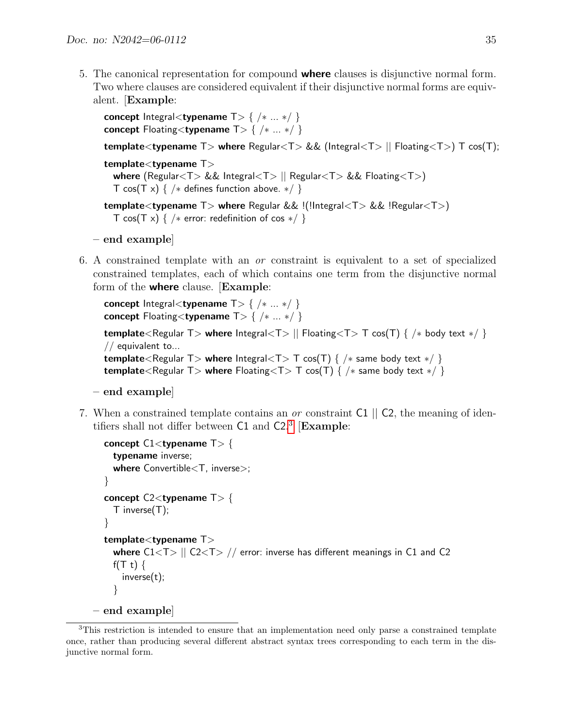5. The canonical representation for compound **where** clauses is disjunctive normal form. Two where clauses are considered equivalent if their disjunctive normal forms are equivalent. [Example:

```
concept Integral<typename T > { /* ...*/}
concept Floating<typename T > \{ / * ... * / \}template<typename T > where Regular<T > && (Integral<T > || Floating<T > T cos(T);
template<typename T>
  where (Regular<T> && Integral<T> || Regular<T> && Floating<T>)
  T cos(T x) { /* defines function above. */ }
template<typename T> where Regular && !(!Integral<T> && !Regular<T>)
  T cos(T x) { /* error: redefinition of cos */ }
```
- end example]
- 6. A constrained template with an or constraint is equivalent to a set of specialized constrained templates, each of which contains one term from the disjunctive normal form of the **where** clause. [Example:

```
concept Integral<typename T > { /* ...*/}
concept Floating<typename T> { /∗ ... ∗/ }
template<Regular T> where Integral<T> | Floating<T> T cos(T) { /* body text */ }
// equivalent to...
template<Regular T> where Integral<T> T cos(T) { /* same body text */ }
template<Regular T> where Floating<T> T cos(T) { /* same body text */ }
```

```
– end example]
```
7. When a constrained template contains an *or* constraint C1 || C2, the meaning of identifiers shall not differ between  $C1$  and  $C2<sup>3</sup>$  $C2<sup>3</sup>$  $C2<sup>3</sup>$  [Example:

```
concept C1 < typename T > {
    typename inverse;
    where Convertible<T, inverse>;
  }
  concept C2 < typename T > {
    T inverse(T);
  }
  template<typename T>
    where C1 < T > || C2 < T > // error: inverse has different meanings in C1 and C2
    f(T t) {
      inverse(t);
    }
– end example]
```
<span id="page-34-0"></span><sup>3</sup>This restriction is intended to ensure that an implementation need only parse a constrained template once, rather than producing several different abstract syntax trees corresponding to each term in the disjunctive normal form.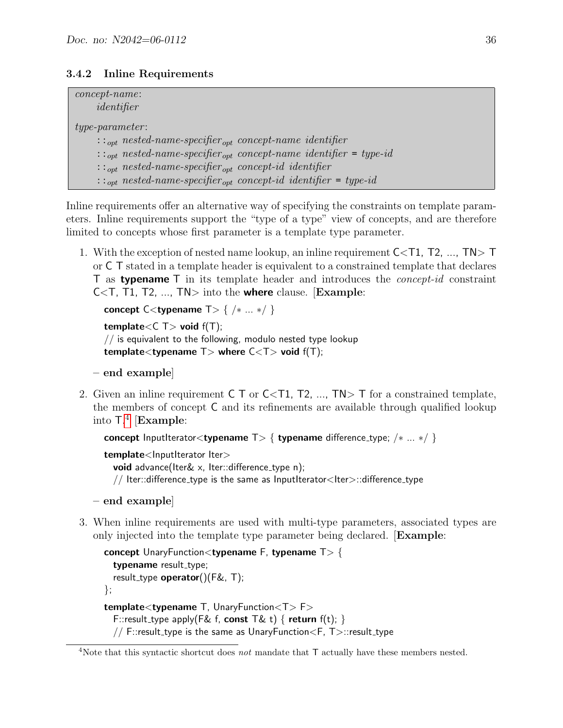### <span id="page-35-0"></span>3.4.2 Inline Requirements

| $concept$ - $name$ :<br>identifier                                                                                                                                                          |                                                                                                                                                                              |
|---------------------------------------------------------------------------------------------------------------------------------------------------------------------------------------------|------------------------------------------------------------------------------------------------------------------------------------------------------------------------------|
| $type\text{-}parameter\text{:}$<br>$\ldots_{opt}$ nested-name-specifier <sub>opt</sub> concept-name identifier<br>$\ldots_{opt}$ nested-name-specifier <sub>opt</sub> concept-id identifier | $\cdots_{opt}$ nested-name-specifier <sub>opt</sub> concept-name identifier = type-id<br>$\cdots_{opt}$ nested-name-specifier <sub>opt</sub> concept-id identifier = type-id |

Inline requirements offer an alternative way of specifying the constraints on template parameters. Inline requirements support the "type of a type" view of concepts, and are therefore limited to concepts whose first parameter is a template type parameter.

1. With the exception of nested name lookup, an inline requirement  $C < 1$ ,  $T<sub>2</sub>, ..., T<sub>N</sub> > T$ or C T stated in a template header is equivalent to a constrained template that declares T as **typename** T in its template header and introduces the *concept-id* constraint  $C < T$ , T1, T2, ..., TN $>$  into the where clause. [Example:

```
concept C<typename T > \{ / * ... * / \}
```

```
template<C T > void f(T);
\frac{1}{2} is equivalent to the following, modulo nested type lookup
template<typename T> where C < T> void f(T);
```

```
– end example]
```
2. Given an inline requirement  $C \top$  or  $C \lt T1$ ,  $T2$ , ...,  $TN > T$  for a constrained template, the members of concept C and its refinements are available through qualified lookup into T. [4](#page-35-1) [Example:

concept InputIterator<typename T> { typename difference\_type; /\* ... \*/ }

template<lnputIterator Iter> **void** advance(Iter $\&$  x, Iter::difference\_type n); // Iter::difference\_type is the same as InputIterator<Iter>::difference\_type

```
– end example]
```
3. When inline requirements are used with multi-type parameters, associated types are only injected into the template type parameter being declared. [Example:

```
concept UnaryFunction<typename F, typename T> {
  typename result_type;
  result_type operator((C)(F&, T);
};
template<typename T, UnaryFunction<T> F>
  F::result_type apply(F& f, const T& t) { return f(t); }
  // F::result_type is the same as UnaryFunction <F, T >::result_type
```
<span id="page-35-1"></span><sup>&</sup>lt;sup>4</sup>Note that this syntactic shortcut does *not* mandate that  $T$  actually have these members nested.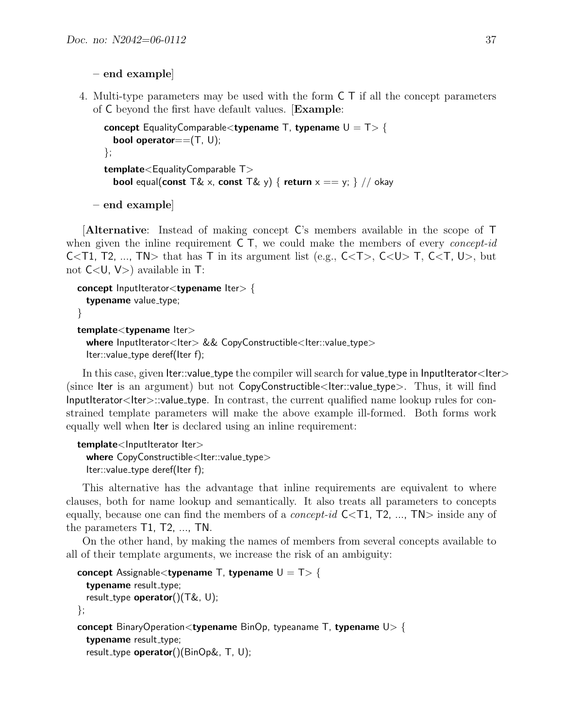```
– end example]
```
4. Multi-type parameters may be used with the form C T if all the concept parameters of C beyond the first have default values. [Example:

```
concept EqualityComparable<typename T, typename U = T > \{bool operator==(T, U);
};
template<EqualityComparable T>
  bool equal(const T& x, const T& y) { return x == y; } // okay
```
– end example]

[Alternative: Instead of making concept C's members available in the scope of T when given the inline requirement  $C$ , we could make the members of every *concept-id* C<T1, T2, ..., TN> that has T in its argument list (e.g.,  $C < T$ ),  $C < U$ ) T,  $C < T$ , U), but not  $C < U$ ,  $V > 0$  available in T:

```
concept InputIterator<typename Iter> {
  typename value_type;
}
template<typename lter>
 where InputIterator<Iter> && CopyConstructible<Iter::value_type>
```
Iter::value\_type deref(Iter f);

In this case, given Iter::value\_type the compiler will search for value\_type in InputIterator<Iter> (since Iter is an argument) but not  $CopyConstructible <$ Iter::value\_type $>$ . Thus, it will find InputIterator<Iter>::value type. In contrast, the current qualified name lookup rules for constrained template parameters will make the above example ill-formed. Both forms work equally well when Iter is declared using an inline requirement:

```
template<lnputIterator Iter>
  where CopyConstructible<Iter::value_type>
  Iter::value_type deref(Iter f);
```
This alternative has the advantage that inline requirements are equivalent to where clauses, both for name lookup and semantically. It also treats all parameters to concepts equally, because one can find the members of a *concept-id*  $C <$ T1, T2, ..., TN $>$  inside any of the parameters T1, T2, ..., TN.

On the other hand, by making the names of members from several concepts available to all of their template arguments, we increase the risk of an ambiguity:

```
concept Assignable < typename T, typename U = T > \{typename result_type;
 result_type operator()(T\&, U);
};
concept BinaryOperation<typename BinOp, typeaname T, typename U > \{typename result_type;
  result_type operator()(BinOp&, T, U);
```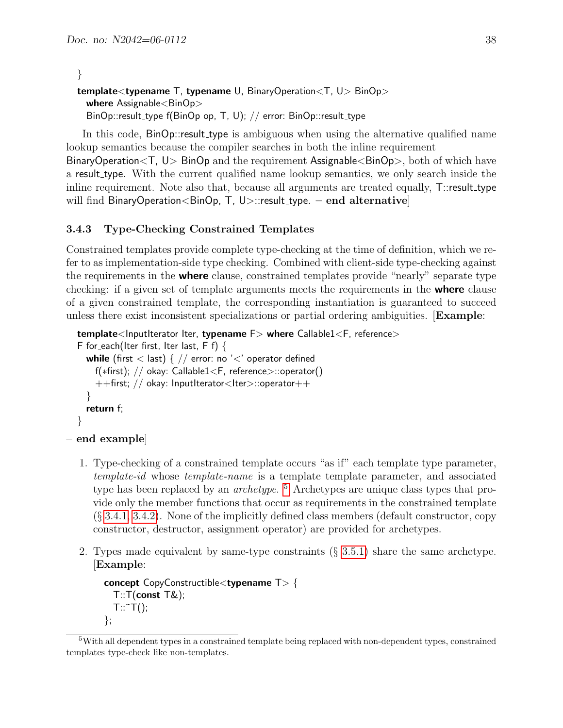}

```
template<typename T, typename U, BinaryOperation<T, U> BinOp>
  where \text{Assignalle}\lt \text{BinOp}BinOp::result_type f(BinOp op, T, U); // error: BinOp::result_type
```
In this code, BinOp::result type is ambiguous when using the alternative qualified name lookup semantics because the compiler searches in both the inline requirement

BinaryOperation<T, U> BinOp and the requirement Assignable<BinOp>, both of which have a result type. With the current qualified name lookup semantics, we only search inside the inline requirement. Note also that, because all arguments are treated equally, T::result\_type will find BinaryOperation  $\leq$ BinOp, T, U $>$ ::result\_type. – end alternative

#### <span id="page-37-0"></span>3.4.3 Type-Checking Constrained Templates

Constrained templates provide complete type-checking at the time of definition, which we refer to as implementation-side type checking. Combined with client-side type-checking against the requirements in the **where** clause, constrained templates provide "nearly" separate type checking: if a given set of template arguments meets the requirements in the **where** clause of a given constrained template, the corresponding instantiation is guaranteed to succeed unless there exist inconsistent specializations or partial ordering ambiguities. [Example:

```
template<InputIterator Iter, typename F> where Callable1<F, reference>
F for each(Iter first, Iter last, F f) {
  while (first < last) { // error: no '<' operator defined
    f(∗first); // okay: Callable1<F, reference>::operator()
    ++first; // okay: InputIterator<Iter>::operator++
  }
  return f;
}
```

```
– end example]
```
- 1. Type-checking of a constrained template occurs "as if" each template type parameter, template-id whose template-name is a template template parameter, and associated type has been replaced by an *archetype*.<sup>[5](#page-37-1)</sup> Archetypes are unique class types that provide only the member functions that occur as requirements in the constrained template  $(\S 3.4.1, 3.4.2)$  $(\S 3.4.1, 3.4.2)$  $(\S 3.4.1, 3.4.2)$ . None of the implicitly defined class members (default constructor, copy constructor, destructor, assignment operator) are provided for archetypes.
- 2. Types made equivalent by same-type constraints (§ [3.5.1\)](#page-43-1) share the same archetype. [Example:

```
concept CopyConstructible<typename T> {
  T: T(const T\&);
  T:\tilde{}\tilde{}T();};
```
<span id="page-37-1"></span><sup>5</sup>With all dependent types in a constrained template being replaced with non-dependent types, constrained templates type-check like non-templates.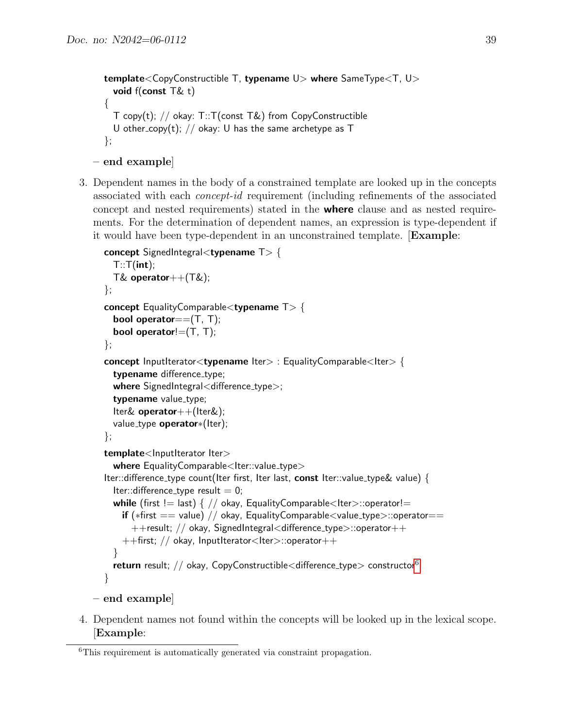```
template<CopyConstructible T, typename U> where SameType<T, U>
  void f(const T& t)
{
  T copy(t); // okay: T::T(const T&) from CopyConstructible
  U other_copy(t); // okay: U has the same archetype as T
};
```

```
– end example]
```
3. Dependent names in the body of a constrained template are looked up in the concepts associated with each concept-id requirement (including refinements of the associated concept and nested requirements) stated in the where clause and as nested requirements. For the determination of dependent names, an expression is type-dependent if it would have been type-dependent in an unconstrained template. [Example:

```
concept SignedIntegral<typename T> {
  T::T(int);T& operator++(T&);
};
concept EqualityComparable<typename T> {
  bool operator==(T, T);
  bool operator!=(T, T);
};
concept InputIterator<typename Iter> : EqualityComparable<Iter> {
  typename difference_type;
  where SignedIntegral<difference_type>;
  typename value_type;
  Iter& operator++(Iter&);
  value_type operator*(Iter);
};
template<lnputIterator Iter>
  where EqualityComparable<Iter::value_type>
Iter::difference type count(Iter first, Iter last, const Iter::value type& value) {
  Iter::difference_type result = 0;
  while (first != last) { // okay, EqualityComparable<lter>::operator!=
    if (*first == value) // okay, EqualityComparable<value_type>::operator==
      ++result; // okay, SignedIntegral<difference type>::operator++
    ++first; // okay, InputIterator<Iter>::operator++
  }
  return result; // okay, CopyConstructible<difference_type>6</sup>
}
```

```
– end example]
```
4. Dependent names not found within the concepts will be looked up in the lexical scope. [Example:

<span id="page-38-0"></span><sup>6</sup>This requirement is automatically generated via constraint propagation.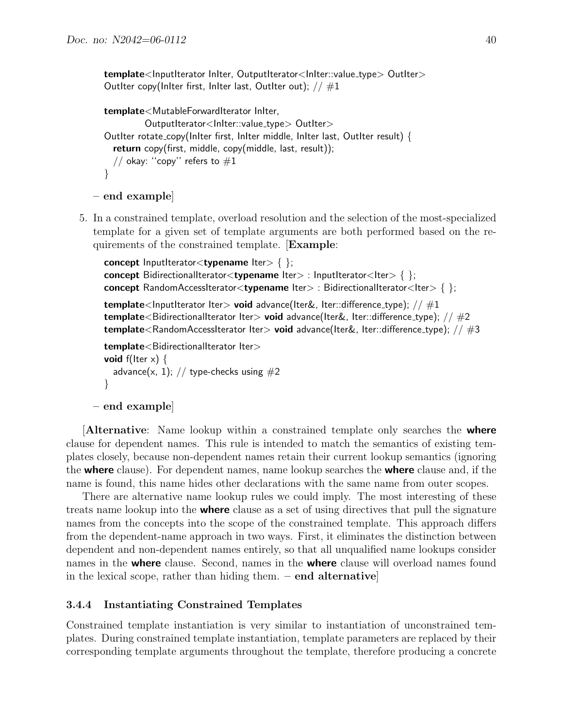template<InputIterator InIter, OutputIterator<InIter::value\_type> OutIter> OutIter copy(InIter first, InIter last, OutIter out);  $// #1$ 

```
template<MutableForwardIterator InIter,
          OutputIterator<InIter::value_type> OutIter>
OutIter rotate copy(InIter first, InIter middle, InIter last, OutIter result) {
  return copy(first, middle, copy(middle, last, result));
  // okay: "copy" refers to #1}
```

```
– end example]
```
5. In a constrained template, overload resolution and the selection of the most-specialized template for a given set of template arguments are both performed based on the requirements of the constrained template. [Example:

```
concept InputIterator<typename Iter> \{ \};
concept BidirectionalIterator<typename Iter> : InputIterator<Iter> { };
concept RandomAccessIterator<typename Iter> : BidirectionalIterator<Iter> { };
template<InputIterator Iter> void advance(Iter&, Iter::difference_type); // \#1template<BidirectionalIterator Iter> void advance(Iter&, Iter::difference_type); // \#2template<RandomAccessIterator Iter> void advance(Iter&, Iter::difference_type); \frac{1}{4}3
template<BidirectionalIterator Iter>
void f(Iter x) {
  advance(x, 1); // type-checks using #2}
```
#### – end example]

**Alternative:** Name lookup within a constrained template only searches the **where** clause for dependent names. This rule is intended to match the semantics of existing templates closely, because non-dependent names retain their current lookup semantics (ignoring the where clause). For dependent names, name lookup searches the where clause and, if the name is found, this name hides other declarations with the same name from outer scopes.

There are alternative name lookup rules we could imply. The most interesting of these treats name lookup into the **where** clause as a set of using directives that pull the signature names from the concepts into the scope of the constrained template. This approach differs from the dependent-name approach in two ways. First, it eliminates the distinction between dependent and non-dependent names entirely, so that all unqualified name lookups consider names in the **where** clause. Second, names in the **where** clause will overload names found in the lexical scope, rather than hiding them.  $-$  end alternative

#### <span id="page-39-0"></span>3.4.4 Instantiating Constrained Templates

Constrained template instantiation is very similar to instantiation of unconstrained templates. During constrained template instantiation, template parameters are replaced by their corresponding template arguments throughout the template, therefore producing a concrete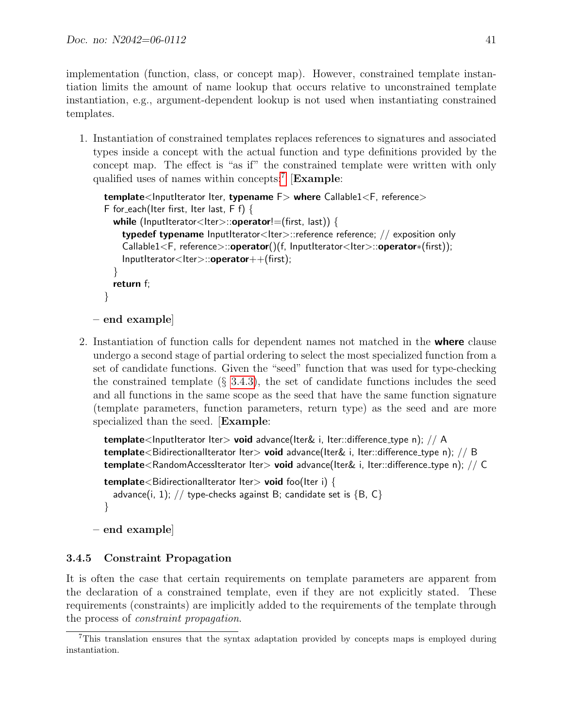implementation (function, class, or concept map). However, constrained template instantiation limits the amount of name lookup that occurs relative to unconstrained template instantiation, e.g., argument-dependent lookup is not used when instantiating constrained templates.

1. Instantiation of constrained templates replaces references to signatures and associated types inside a concept with the actual function and type definitions provided by the concept map. The effect is "as if" the constrained template were written with only qualified uses of names within concepts:<sup>[7](#page-40-1)</sup> [Example:

```
template<InputIterator Iter, typename F> where Callable1<F, reference>
F for each(Iter first, Iter last, F f) {
  while (InputIterator<Iter>::operator!=(first, last)) {
    typedef typename InputIterator<Iter>::reference reference; // exposition only
    Callable1<F, reference>::operator()(f, InputIterator<Iter>::operator*(first));
    InputIterator<Iter>::operator++(first);
  }
  return f;
}
```

```
– end example]
```
2. Instantiation of function calls for dependent names not matched in the **where** clause undergo a second stage of partial ordering to select the most specialized function from a set of candidate functions. Given the "seed" function that was used for type-checking the constrained template  $(\S 3.4.3)$  $(\S 3.4.3)$ , the set of candidate functions includes the seed and all functions in the same scope as the seed that have the same function signature (template parameters, function parameters, return type) as the seed and are more specialized than the seed. [Example:

```
template<InputIterator Iter> void advance(Iter& i, Iter::difference_type n); // A
template<BidirectionalIterator Iter> void advance(Iter& i, Iter::difference_type n); // B
template<RandomAccessIterator Iter> void advance(Iter& i, Iter::difference_type n); // C
template<BidirectionalIterator Iter> void foo(Iter i) {
  advance(i, 1); // type-checks against B; candidate set is \{B, C\}}
```

```
– end example]
```
### <span id="page-40-0"></span>3.4.5 Constraint Propagation

It is often the case that certain requirements on template parameters are apparent from the declaration of a constrained template, even if they are not explicitly stated. These requirements (constraints) are implicitly added to the requirements of the template through the process of constraint propagation.

<span id="page-40-1"></span><sup>7</sup>This translation ensures that the syntax adaptation provided by concepts maps is employed during instantiation.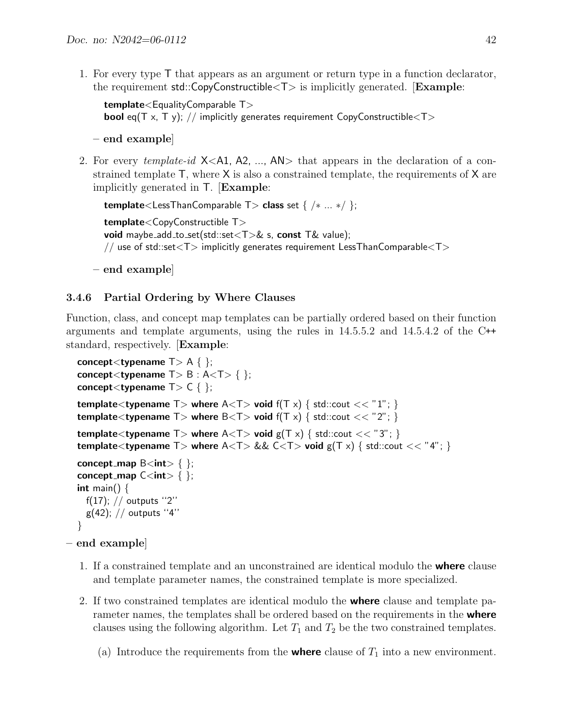1. For every type T that appears as an argument or return type in a function declarator, the requirement  $std::CopyConstructible <  $T$  is implicitly generated. [Example:$ 

```
template <EqualityComparable T>bool eq(T x, T y); // implicitly generates requirement CopyConstructible\langle T \rangle
```
– end example]

2. For every *template-id*  $X < A1$ ,  $A2$ , ...,  $AN >$  that appears in the declaration of a constrained template  $\mathsf{T}$ , where  $\mathsf{X}$  is also a constrained template, the requirements of  $\mathsf{X}$  are implicitly generated in T. [Example:

```
template<LessThanComparable T> class set \{ / * ... * / \};
template<CopyConstructible T>
void maybe_add_to_set(std::set(T)& s, const T& value);
// use of std::set<T> implicitly generates requirement LessThanComparable<T>
```

```
– end example]
```
### <span id="page-41-0"></span>3.4.6 Partial Ordering by Where Clauses

Function, class, and concept map templates can be partially ordered based on their function arguments and template arguments, using the rules in 14.5.5.2 and 14.5.4.2 of the C++ standard, respectively. [Example:

```
concept<typename T > A \{ };
concept<typename T > B : A < T > \{ \};
concept<typename T>C \{};
template<typename T> where A<T> void f(T \times) { std::cout << "1"; }
template<typename T> where B<T> void f(T \times) { std::cout << "2"; }
template<typename T> where A<T> void g(T \times) { std::cout << "3"; }
template<typename T> where A < T> && C < T> void g(T \times) { std::cout << "4"; }
concept_map \mathsf{B}\text{<}\mathsf{int}\text{>}\ \{ \};
concept_map C < int > \{ \};
int main() \{f(17); // outputs ''2''
  g(42); // outputs "4"
}
```
### – end example]

- 1. If a constrained template and an unconstrained are identical modulo the where clause and template parameter names, the constrained template is more specialized.
- 2. If two constrained templates are identical modulo the **where** clause and template parameter names, the templates shall be ordered based on the requirements in the **where** clauses using the following algorithm. Let  $T_1$  and  $T_2$  be the two constrained templates.
	- (a) Introduce the requirements from the **where** clause of  $T_1$  into a new environment.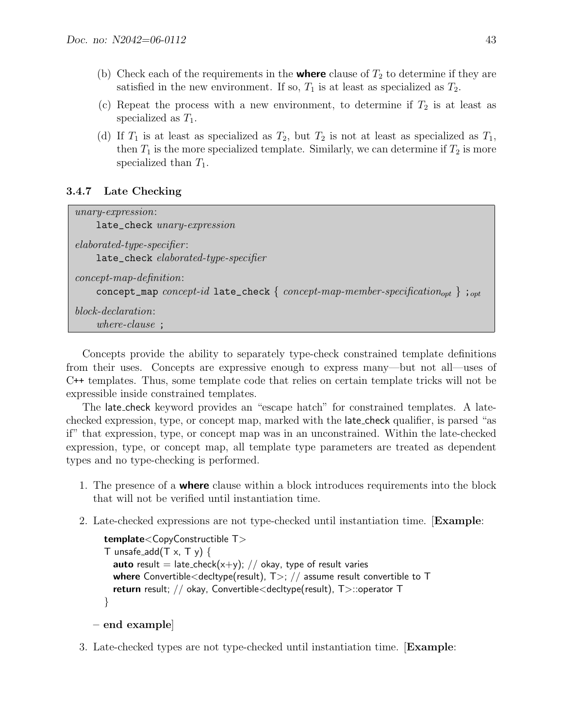- (b) Check each of the requirements in the **where** clause of  $T_2$  to determine if they are satisfied in the new environment. If so,  $T_1$  is at least as specialized as  $T_2$ .
- (c) Repeat the process with a new environment, to determine if  $T_2$  is at least as specialized as  $T_1$ .
- (d) If  $T_1$  is at least as specialized as  $T_2$ , but  $T_2$  is not at least as specialized as  $T_1$ , then  $T_1$  is the more specialized template. Similarly, we can determine if  $T_2$  is more specialized than  $T_1$ .

#### <span id="page-42-0"></span>3.4.7 Late Checking

| $unary-expression:$<br>late_check unary-expression                                                                                   |
|--------------------------------------------------------------------------------------------------------------------------------------|
| $elaborated-type-specificr:$<br>late_check elaborated-type-specifier                                                                 |
| $concept$ -map-definition:<br>concept_map concept-id late_check { concept-map-member-specification <sub>opt</sub> } ; <sub>opt</sub> |
| $block-declaration:$<br>$where-clause$ ;                                                                                             |

Concepts provide the ability to separately type-check constrained template definitions from their uses. Concepts are expressive enough to express many—but not all—uses of C++ templates. Thus, some template code that relies on certain template tricks will not be expressible inside constrained templates.

The late check keyword provides an "escape hatch" for constrained templates. A latechecked expression, type, or concept map, marked with the late check qualifier, is parsed "as if" that expression, type, or concept map was in an unconstrained. Within the late-checked expression, type, or concept map, all template type parameters are treated as dependent types and no type-checking is performed.

- 1. The presence of a **where** clause within a block introduces requirements into the block that will not be verified until instantiation time.
- 2. Late-checked expressions are not type-checked until instantiation time. [Example:

```
template<CopyConstructible T>
T unsafe_add(T \times, T \vee) {
  auto result = late_check(x+y); // okay, type of result varies
  where Convertible<decltype(result), T >; \frac{1}{2} assume result convertible to T
  return result; // okay, Convertible<decltype(result), T>::operator T
}
```

```
– end example]
```
3. Late-checked types are not type-checked until instantiation time. [Example: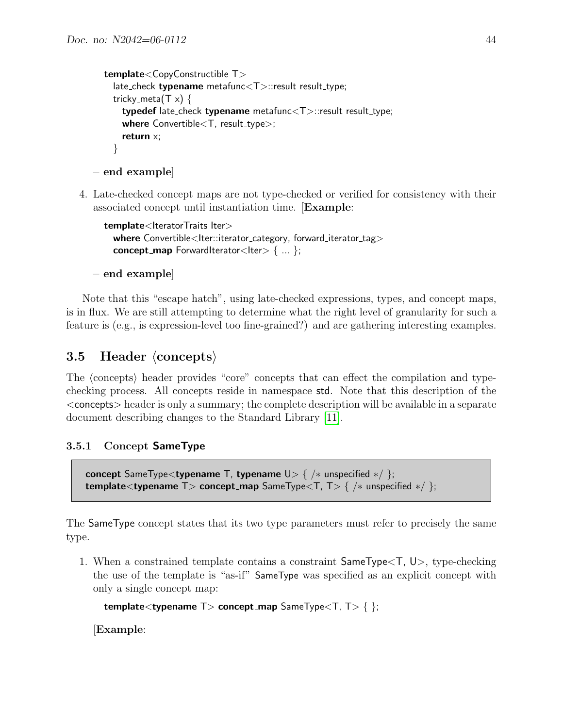```
template<CopyConstructible T>
    late_check typename metafunc<T>::result result_type;
    tricky_meta(T \times) {
      typedef late_check typename metafunc<T>::result result_type;
      where Convertible < T, result_type>;
      return x;
    }
– end example]
```
4. Late-checked concept maps are not type-checked or verified for consistency with their associated concept until instantiation time. [Example:

```
template<IteratorTraits Iter>
  where Convertible<Iter::iterator_category, forward_iterator_tag>
  concept_map ForwardIterator<Iter> \{ \dots \};
```
– end example]

Note that this "escape hatch", using late-checked expressions, types, and concept maps, is in flux. We are still attempting to determine what the right level of granularity for such a feature is (e.g., is expression-level too fine-grained?) and are gathering interesting examples.

## <span id="page-43-0"></span>3.5 Header  $\langle$  concepts $\rangle$

The (concepts) header provides "core" concepts that can effect the compilation and typechecking process. All concepts reside in namespace std. Note that this description of the <concepts> header is only a summary; the complete description will be available in a separate document describing changes to the Standard Library [\[11\]](#page-47-7).

### 3.5.1 Concept SameType

```
concept SameType<typename T, typename U> { /∗ unspecified ∗/ };
template<typename T> concept_map SameType<T, T> { /* unspecified */ };
```
The SameType concept states that its two type parameters must refer to precisely the same type.

1. When a constrained template contains a constraint SameType<T, U>, type-checking the use of the template is "as-if" SameType was specified as an explicit concept with only a single concept map:

```
template<typename T> concept_map SameType<T, T> \{ \};
```
[Example: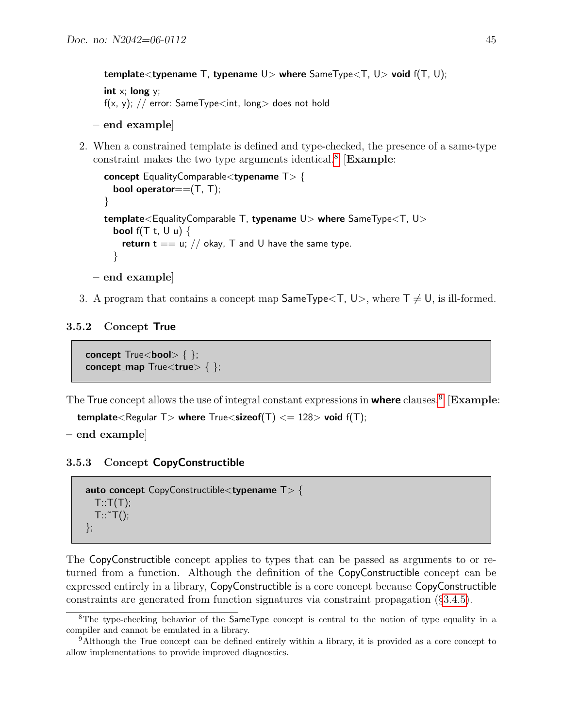template<typename T, typename  $U>$  where SameType $\lt$ T,  $U>$  void  $f(T, U);$ int  $x$ ; long  $y$ ; f(x, y); // error: SameType $\lt$ int, long $>$  does not hold

```
– end example]
```
2. When a constrained template is defined and type-checked, the presence of a same-type constraint makes the two type arguments identical.<sup>[8](#page-44-2)</sup> [Example:

```
concept EqualityComparable<typename T> {
    bool operator==(T, T);
  }
  template<EqualityComparable T, typename U> where SameType<T, U>
    bool f(T t, U u) {
      return t = = u; // okay, T and U have the same type.
    }
– end example]
```
3. A program that contains a concept map  $\mathsf{SameType}\langle \mathsf{T}, \mathsf{U}\rangle$ , where  $\mathsf{T} \neq \mathsf{U}$ , is ill-formed.

#### 3.5.2 Concept True

<span id="page-44-0"></span>concept  $True<sub>color</sub>$  { }; concept\_map True<true> { };

The True concept allows the use of integral constant expressions in where clauses.<sup>[9](#page-44-3)</sup> [Example:

```
template<Regular T> where True<sizeof(T) <= 128> void f(T);
```
– end example]

3.5.3 Concept CopyConstructible

```
auto concept CopyConstructible<typename T> {
  T: T(T);T:\tilde{}\tilde{}T();};
```
The CopyConstructible concept applies to types that can be passed as arguments to or returned from a function. Although the definition of the CopyConstructible concept can be expressed entirely in a library, CopyConstructible is a core concept because CopyConstructible constraints are generated from function signatures via constraint propagation (§[3.4.5\)](#page-40-0).

<span id="page-44-2"></span><sup>&</sup>lt;sup>8</sup>The type-checking behavior of the SameType concept is central to the notion of type equality in a compiler and cannot be emulated in a library.

<span id="page-44-3"></span><sup>9</sup>Although the True concept can be defined entirely within a library, it is provided as a core concept to allow implementations to provide improved diagnostics.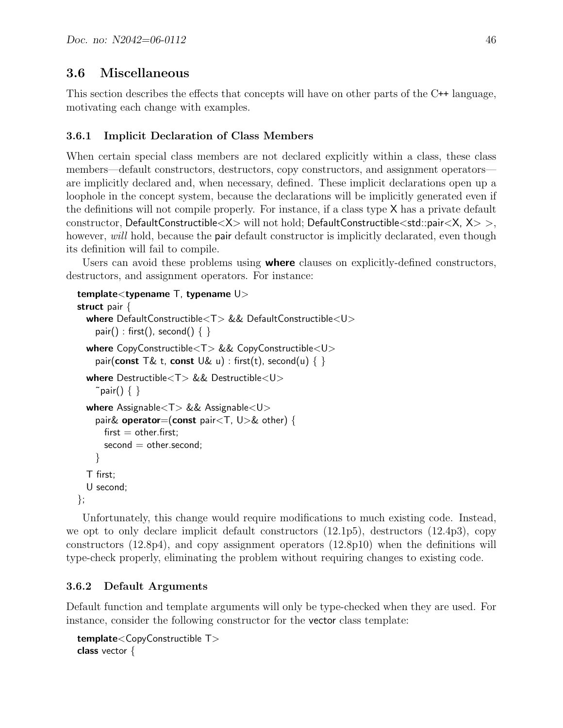## <span id="page-45-0"></span>3.6 Miscellaneous

This section describes the effects that concepts will have on other parts of the C++ language, motivating each change with examples.

### <span id="page-45-1"></span>3.6.1 Implicit Declaration of Class Members

When certain special class members are not declared explicitly within a class, these class members—default constructors, destructors, copy constructors, and assignment operators are implicitly declared and, when necessary, defined. These implicit declarations open up a loophole in the concept system, because the declarations will be implicitly generated even if the definitions will not compile properly. For instance, if a class type X has a private default constructor, DefaultConstructible $\langle X \rangle$  will not hold; DefaultConstructible $\langle$ std::pair $\langle X, X \rangle >$ , however, will hold, because the **pair** default constructor is implicitly declarated, even though its definition will fail to compile.

Users can avoid these problems using **where** clauses on explicitly-defined constructors, destructors, and assignment operators. For instance:

```
template<typename T, typename U>
struct pair {
  where DefaultConstructible<T> && DefaultConstructible<U>
    pair() : first(), second() \{ \}where CopyConstructible<T> && CopyConstructible<U>
    pair(const T& t, const U& u) : first(t), second(u) { }
  where Destructible<T> && Destructible<U>
    \tilde{\ } pair() \{ \ \}where \text{Assignable} < T && Assignable\text{<} Upair& operator=(const pair<T, U > 8 other) {
      first = other-first;second = other.second;}
  T first;
  U second;
};
```
Unfortunately, this change would require modifications to much existing code. Instead, we opt to only declare implicit default constructors (12.1p5), destructors (12.4p3), copy constructors (12.8p4), and copy assignment operators (12.8p10) when the definitions will type-check properly, eliminating the problem without requiring changes to existing code.

### <span id="page-45-2"></span>3.6.2 Default Arguments

Default function and template arguments will only be type-checked when they are used. For instance, consider the following constructor for the vector class template:

```
template<CopyConstructible T>
class vector {
```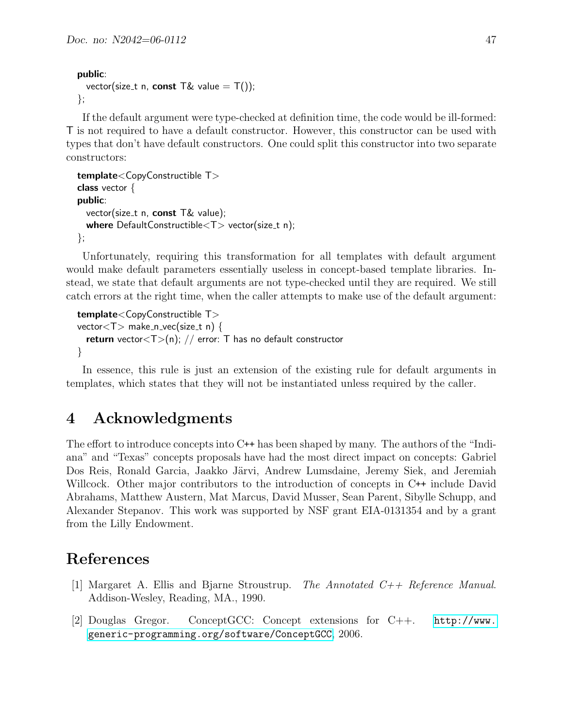#### public:

```
vector(size_t n, const T\& value = T());
};
```
If the default argument were type-checked at definition time, the code would be ill-formed: T is not required to have a default constructor. However, this constructor can be used with types that don't have default constructors. One could split this constructor into two separate constructors:

```
template<CopyConstructible T>
class vector {
public:
  vector(size_t n, const T& value);
  where DefaultConstructible<\nT vector(size_t n);
};
```
Unfortunately, requiring this transformation for all templates with default argument would make default parameters essentially useless in concept-based template libraries. Instead, we state that default arguments are not type-checked until they are required. We still catch errors at the right time, when the caller attempts to make use of the default argument:

```
template<CopyConstructible T>
vector < T make n vec(size t n) {
  return vector(T>(n)); // error: T has no default constructor
}
```
In essence, this rule is just an extension of the existing rule for default arguments in templates, which states that they will not be instantiated unless required by the caller.

## <span id="page-46-0"></span>4 Acknowledgments

The effort to introduce concepts into C++ has been shaped by many. The authors of the "Indiana" and "Texas" concepts proposals have had the most direct impact on concepts: Gabriel Dos Reis, Ronald Garcia, Jaakko Järvi, Andrew Lumsdaine, Jeremy Siek, and Jeremiah Willcock. Other major contributors to the introduction of concepts in C++ include David Abrahams, Matthew Austern, Mat Marcus, David Musser, Sean Parent, Sibylle Schupp, and Alexander Stepanov. This work was supported by NSF grant EIA-0131354 and by a grant from the Lilly Endowment.

## References

- <span id="page-46-2"></span>[1] Margaret A. Ellis and Bjarne Stroustrup. The Annotated C++ Reference Manual. Addison-Wesley, Reading, MA., 1990.
- <span id="page-46-1"></span>[2] Douglas Gregor. ConceptGCC: Concept extensions for C++. [http://www.](http://www.generic-programming.org/software/ConceptGCC) [generic-programming.org/software/ConceptGCC](http://www.generic-programming.org/software/ConceptGCC), 2006.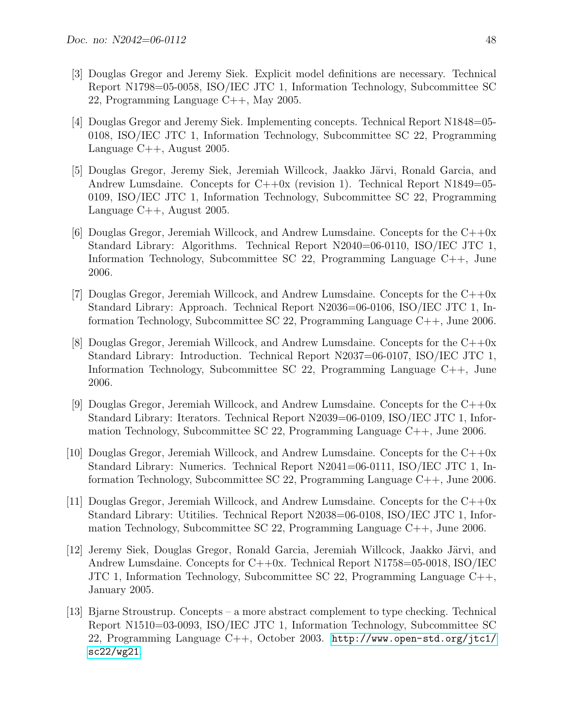- <span id="page-47-0"></span>[3] Douglas Gregor and Jeremy Siek. Explicit model definitions are necessary. Technical Report N1798=05-0058, ISO/IEC JTC 1, Information Technology, Subcommittee SC 22, Programming Language C++, May 2005.
- <span id="page-47-1"></span>[4] Douglas Gregor and Jeremy Siek. Implementing concepts. Technical Report N1848=05- 0108, ISO/IEC JTC 1, Information Technology, Subcommittee SC 22, Programming Language C++, August 2005.
- <span id="page-47-2"></span>[5] Douglas Gregor, Jeremy Siek, Jeremiah Willcock, Jaakko Järvi, Ronald Garcia, and Andrew Lumsdaine. Concepts for  $C++0x$  (revision 1). Technical Report N1849=05-0109, ISO/IEC JTC 1, Information Technology, Subcommittee SC 22, Programming Language C++, August 2005.
- <span id="page-47-9"></span>[6] Douglas Gregor, Jeremiah Willcock, and Andrew Lumsdaine. Concepts for the  $C++0x$ Standard Library: Algorithms. Technical Report N2040=06-0110, ISO/IEC JTC 1, Information Technology, Subcommittee SC 22, Programming Language C++, June 2006.
- <span id="page-47-5"></span>[7] Douglas Gregor, Jeremiah Willcock, and Andrew Lumsdaine. Concepts for the  $C++0x$ Standard Library: Approach. Technical Report N2036=06-0106, ISO/IEC JTC 1, Information Technology, Subcommittee SC 22, Programming Language C++, June 2006.
- <span id="page-47-6"></span>[8] Douglas Gregor, Jeremiah Willcock, and Andrew Lumsdaine. Concepts for the C++0x Standard Library: Introduction. Technical Report N2037=06-0107, ISO/IEC JTC 1, Information Technology, Subcommittee SC 22, Programming Language C++, June 2006.
- <span id="page-47-8"></span>[9] Douglas Gregor, Jeremiah Willcock, and Andrew Lumsdaine. Concepts for the  $C++0x$ Standard Library: Iterators. Technical Report N2039=06-0109, ISO/IEC JTC 1, Information Technology, Subcommittee SC 22, Programming Language C++, June 2006.
- <span id="page-47-10"></span>[10] Douglas Gregor, Jeremiah Willcock, and Andrew Lumsdaine. Concepts for the  $C++0x$ Standard Library: Numerics. Technical Report N2041=06-0111, ISO/IEC JTC 1, Information Technology, Subcommittee SC 22, Programming Language C++, June 2006.
- <span id="page-47-7"></span>[11] Douglas Gregor, Jeremiah Willcock, and Andrew Lumsdaine. Concepts for the C++0x Standard Library: Utitilies. Technical Report N2038=06-0108, ISO/IEC JTC 1, Information Technology, Subcommittee SC 22, Programming Language C++, June 2006.
- <span id="page-47-3"></span>[12] Jeremy Siek, Douglas Gregor, Ronald Garcia, Jeremiah Willcock, Jaakko Järvi, and Andrew Lumsdaine. Concepts for C++0x. Technical Report N1758=05-0018, ISO/IEC JTC 1, Information Technology, Subcommittee SC 22, Programming Language C++, January 2005.
- <span id="page-47-4"></span>[13] Bjarne Stroustrup. Concepts – a more abstract complement to type checking. Technical Report N1510=03-0093, ISO/IEC JTC 1, Information Technology, Subcommittee SC 22, Programming Language C++, October 2003. [http://www.open-std.org/jtc1/](http://www.open-std.org/jtc1/sc22/wg21) [sc22/wg21](http://www.open-std.org/jtc1/sc22/wg21).